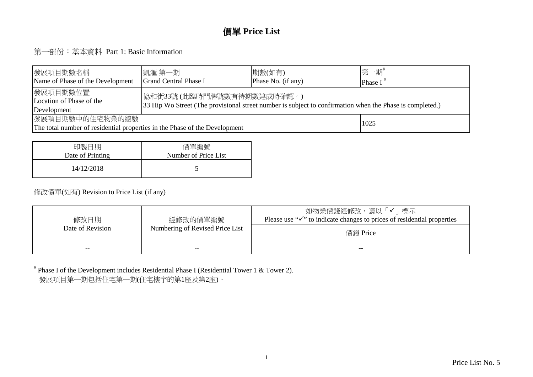#### 價單 **Price List**

第一部份:基本資料 Part 1: Basic Information

| 發展項目期數名稱 <br>Name of Phase of the Development                                                                                                                                                  | 凱滙 第一期 <br><b>Grand Central Phase I</b> | 期數(如有)<br>Phase No. (if any) | 第一期#<br>Phase $I^*$ |  |  |  |  |  |  |
|------------------------------------------------------------------------------------------------------------------------------------------------------------------------------------------------|-----------------------------------------|------------------------------|---------------------|--|--|--|--|--|--|
| 發展項目期數位置 <br> 協和街33號(此臨時門牌號數有待期數建成時確認。)<br>Location of Phase of the<br>33 Hip Wo Street (The provisional street number is subject to confirmation when the Phase is completed.)<br>Development |                                         |                              |                     |  |  |  |  |  |  |
| 發展項目期數中的住宅物業的總數<br>1025<br>The total number of residential properties in the Phase of the Development                                                                                          |                                         |                              |                     |  |  |  |  |  |  |

| 印製日期             | 價單編號                 |
|------------------|----------------------|
| Date of Printing | Number of Price List |
| 14/12/2018       |                      |

#### 修改價單(如有) Revision to Price List (if any)

| 修改日期<br>Date of Revision | 經修改的價單編號<br>Numbering of Revised Price List | 如物業價錢經修改,請以「✔」標示<br>Please use " $\checkmark$ " to indicate changes to prices of residential properties<br>價錢 Price |
|--------------------------|---------------------------------------------|---------------------------------------------------------------------------------------------------------------------|
| $- -$                    | --                                          | --                                                                                                                  |

# Phase I of the Development includes Residential Phase I (Residential Tower 1 & Tower 2).發展項目第一期包括住宅第一期(住宅樓宇的第1座及第2座)。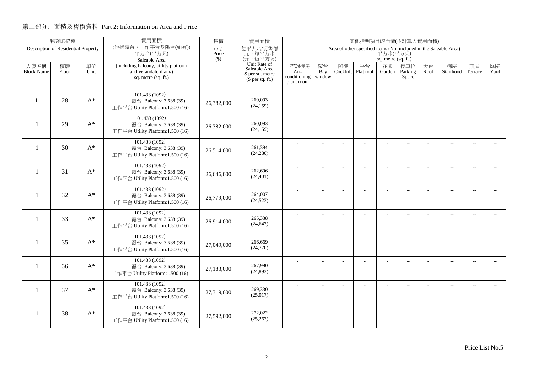|                          | 物業的描述                               |                | 實用面積                                                       | 售價           | 實用面積                                 |                      |                |          | 其他指明項目的面積(不計算入實用面積)                                               |                     |                          |      |                          |                          |                          |
|--------------------------|-------------------------------------|----------------|------------------------------------------------------------|--------------|--------------------------------------|----------------------|----------------|----------|-------------------------------------------------------------------|---------------------|--------------------------|------|--------------------------|--------------------------|--------------------------|
|                          | Description of Residential Property |                | (包括露台,工作平台及陽台(如有))<br>平方米(平方呎)                             | (元)<br>Price | 每平方米/呎售價<br>元,每平方米                   |                      |                |          | Area of other specified items (Not included in the Saleable Area) | 平方米(平方呎)            |                          |      |                          |                          |                          |
|                          |                                     |                | Saleable Area                                              | $($ \$)      | (元,每平方呎)                             |                      |                |          |                                                                   | sq. metre (sq. ft.) |                          |      |                          |                          |                          |
| 大廈名稱                     | 樓層                                  | 單位             | (including balcony, utility platform                       |              | Unit Rate of<br>Saleable Area        | 空調機房                 | 窗台             | 閣樓       | 平台                                                                | 花園                  | 停車位                      | 天台   | 梯屋                       | 前庭                       | 庭院                       |
| <b>Block Name</b>        | Floor                               | Unit           | and verandah, if any)<br>sq. metre (sq. ft.)               |              | \$ per sq. metre<br>$$$ per sq. ft.) | Air-<br>conditioning | Bay<br>window  | Cockloft | Flat roof                                                         | Garden              | Parking<br>Space         | Roof | Stairhood                | Terrace                  | Yard                     |
|                          |                                     |                |                                                            |              |                                      | plant room           |                |          |                                                                   |                     |                          |      |                          |                          |                          |
|                          |                                     |                | 101.433 (1092)                                             |              |                                      |                      |                |          |                                                                   |                     | $\overline{a}$           |      | $\overline{\phantom{a}}$ | $\overline{\phantom{a}}$ |                          |
|                          | 28                                  | $A^*$          | 露台 Balcony: 3.638 (39)                                     | 26,382,000   | 260,093<br>(24, 159)                 |                      |                |          |                                                                   |                     |                          |      |                          |                          |                          |
|                          |                                     |                | 工作平台 Utility Platform:1.500 (16)                           |              |                                      |                      |                |          |                                                                   |                     |                          |      |                          |                          |                          |
|                          | 29                                  | $A^*$          | 101.433 (1092)                                             |              | 260,093                              |                      |                |          | ÷                                                                 | ÷                   | $\overline{\phantom{a}}$ |      | $\overline{\phantom{a}}$ | $\sim$                   |                          |
| $\overline{\phantom{a}}$ |                                     |                | 露台 Balcony: 3.638 (39)<br>工作平台 Utility Platform:1.500 (16) | 26,382,000   | (24, 159)                            |                      |                |          |                                                                   |                     |                          |      |                          |                          |                          |
|                          |                                     |                |                                                            |              |                                      |                      |                |          |                                                                   |                     |                          |      |                          |                          |                          |
| $\overline{\phantom{a}}$ | 30                                  | $A^*$          | 101.433 (1092)<br>露台 Balcony: 3.638 (39)                   |              | 261,394                              |                      | L.             |          |                                                                   | L,                  | $\overline{a}$           |      | $\overline{\phantom{a}}$ | $\sim$                   | $\overline{a}$           |
|                          |                                     |                | 工作平台 Utility Platform:1.500 (16)                           | 26,514,000   | (24, 280)                            |                      |                |          |                                                                   |                     |                          |      |                          |                          |                          |
|                          |                                     |                | 101.433 (1092)                                             |              |                                      |                      |                |          |                                                                   | L,                  | $\overline{a}$           |      | $\overline{\phantom{a}}$ | $\overline{\phantom{a}}$ | $- -$                    |
| -1                       | 31                                  | $\mathbf{A}^*$ | 露台 Balcony: 3.638 (39)                                     | 26,646,000   | 262,696<br>(24, 401)                 |                      |                |          |                                                                   |                     |                          |      |                          |                          |                          |
|                          |                                     |                | 工作平台 Utility Platform:1.500 (16)                           |              |                                      |                      |                |          |                                                                   |                     |                          |      |                          |                          |                          |
| -1                       | 32                                  | $A^*$          | 101.433 (1092)                                             |              | 264,007                              |                      |                |          |                                                                   |                     | $\sim$                   |      | $\overline{\phantom{a}}$ | $\sim$                   | $\sim$                   |
|                          |                                     |                | 露台 Balcony: 3.638 (39)<br>工作平台 Utility Platform:1.500 (16) | 26,779,000   | (24, 523)                            |                      |                |          |                                                                   |                     |                          |      |                          |                          |                          |
|                          |                                     |                | 101.433 (1092)                                             |              |                                      |                      |                |          |                                                                   |                     |                          |      |                          |                          |                          |
| -1                       | 33                                  | $A^*$          | 露台 Balcony: 3.638 (39)                                     | 26,914,000   | 265.338                              |                      | $\overline{a}$ |          |                                                                   | ÷,                  | $\overline{\phantom{m}}$ |      | $\overline{\phantom{m}}$ | $\overline{\phantom{a}}$ | $- -$                    |
|                          |                                     |                | 工作平台 Utility Platform:1.500 (16)                           |              | (24, 647)                            |                      |                |          |                                                                   |                     |                          |      |                          |                          |                          |
|                          |                                     |                | 101.433 (1092)                                             |              |                                      |                      | ÷              |          |                                                                   | $\overline{a}$      | $\overline{a}$           |      | $\overline{a}$           | $\overline{\phantom{a}}$ | $- -$                    |
| $\mathbf{1}$             | 35                                  | $A^*$          | 露台 Balcony: 3.638 (39)                                     | 27,049,000   | 266,669<br>(24,770)                  |                      |                |          |                                                                   |                     |                          |      |                          |                          |                          |
|                          |                                     |                | 工作平台 Utility Platform:1.500 (16)                           |              |                                      |                      |                |          |                                                                   |                     |                          |      |                          |                          |                          |
| -1                       | 36                                  | $A^*$          | 101.433 (1092)<br>露台 Balcony: 3.638 (39)                   |              | 267,990                              |                      | L.             |          | L,                                                                | L,                  | $\overline{\phantom{a}}$ |      | $\overline{a}$           | $\sim$                   | $\overline{a}$           |
|                          |                                     |                | 工作平台 Utility Platform:1.500 (16)                           | 27,183,000   | (24, 893)                            |                      |                |          |                                                                   |                     |                          |      |                          |                          |                          |
|                          |                                     |                | 101.433 (1092)                                             |              |                                      |                      |                |          |                                                                   |                     |                          |      |                          |                          |                          |
| $\mathbf{1}$             | 37                                  | $A^*$          | 露台 Balcony: 3.638 (39)                                     | 27,319,000   | 269,330                              |                      | $\overline{a}$ |          |                                                                   |                     | $\overline{\phantom{m}}$ |      | $\overline{\phantom{a}}$ | $\sim$                   | $- -$                    |
|                          |                                     |                | 工作平台 Utility Platform:1.500 (16)                           |              | (25,017)                             |                      |                |          |                                                                   |                     |                          |      |                          |                          |                          |
|                          |                                     |                | 101.433 (1092)                                             |              |                                      |                      |                |          |                                                                   |                     | $\overline{\phantom{a}}$ |      | $\overline{\phantom{m}}$ | $\overline{a}$           | $\overline{\phantom{a}}$ |
| 1                        | 38                                  | $A^*$          | 露台 Balcony: 3.638 (39)<br>工作平台 Utility Platform:1.500 (16) | 27,592,000   | 272,022<br>(25, 267)                 |                      |                |          |                                                                   |                     |                          |      |                          |                          |                          |
|                          |                                     |                |                                                            |              |                                      |                      |                |          |                                                                   |                     |                          |      |                          |                          |                          |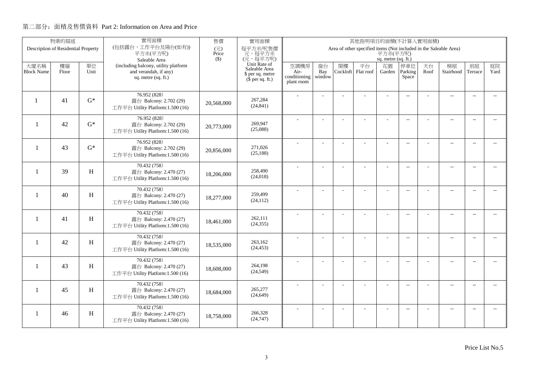|                          | 物業的描述                               |                           | 實用面積                                                       | 售價                                | 實用面積                          |                      |                |          | 其他指明項目的面積(不計算入實用面積)                                               |                     |                          |      |                          |                          |                          |
|--------------------------|-------------------------------------|---------------------------|------------------------------------------------------------|-----------------------------------|-------------------------------|----------------------|----------------|----------|-------------------------------------------------------------------|---------------------|--------------------------|------|--------------------------|--------------------------|--------------------------|
|                          | Description of Residential Property |                           | (包括露台,工作平台及陽台(如有))<br>平方米(平方呎)                             | $(\overrightarrow{\pi})$<br>Price | 每平方米/呎售價<br>元,每平方米            |                      |                |          | Area of other specified items (Not included in the Saleable Area) | 平方米(平方呎)            |                          |      |                          |                          |                          |
|                          |                                     |                           | Saleable Area                                              | $($ \$)                           | (元,每平方呎)                      |                      |                |          |                                                                   | sq. metre (sq. ft.) |                          |      |                          |                          |                          |
| 大廈名稱                     | 樓層                                  | 單位                        | (including balcony, utility platform                       |                                   | Unit Rate of<br>Saleable Area | 空調機房                 | 窗台             | 閣樓       | 平台                                                                | 花園                  | 停車位                      | 天台   | 梯屋                       | 前庭                       | 庭院                       |
| <b>Block Name</b>        | Floor                               | Unit                      | and verandah, if any)<br>sq. metre (sq. ft.)               |                                   | \$ per sq. metre              | Air-<br>conditioning | Bay<br>window  | Cockloft | Flat roof                                                         | Garden              | Parking<br>Space         | Roof | Stairhood                | Terrace                  | Yard                     |
|                          |                                     |                           |                                                            |                                   | $(\bar{\S}$ per sq. ft.)      | plant room           |                |          |                                                                   |                     |                          |      |                          |                          |                          |
|                          |                                     |                           | 76.952 (828)                                               |                                   |                               |                      |                |          |                                                                   |                     |                          |      |                          |                          |                          |
|                          | 41                                  | $G^*$                     | 露台 Balcony: 2.702 (29)                                     | 20,568,000                        | 267,284                       |                      |                |          |                                                                   |                     | $\overline{a}$           |      | $\overline{\phantom{a}}$ | $\sim$                   |                          |
|                          |                                     |                           | 工作平台 Utility Platform:1.500 (16)                           |                                   | (24, 841)                     |                      |                |          |                                                                   |                     |                          |      |                          |                          |                          |
|                          |                                     |                           | 76.952 (828)                                               |                                   |                               |                      |                |          |                                                                   |                     | $\overline{\phantom{a}}$ |      | $\overline{\phantom{a}}$ | $\sim$                   |                          |
| $\overline{\phantom{a}}$ | 42                                  | $G^*$                     | 露台 Balcony: 2.702 (29)                                     | 20,773,000                        | 269.947                       |                      |                |          |                                                                   |                     |                          |      |                          |                          |                          |
|                          |                                     |                           | 工作平台 Utility Platform:1.500 (16)                           |                                   | (25,088)                      |                      |                |          |                                                                   |                     |                          |      |                          |                          |                          |
|                          |                                     |                           | 76.952 (828)                                               |                                   |                               |                      | $\overline{a}$ |          | L.                                                                | ÷                   | $\overline{\phantom{a}}$ |      | $\overline{a}$           | $\overline{\phantom{a}}$ | $-$                      |
| $\mathbf{1}$             | 43                                  | $G^*$                     | 露台 Balcony: 2.702 (29)<br>工作平台 Utility Platform:1.500 (16) | 20,856,000                        | 271,026<br>(25, 188)          |                      |                |          |                                                                   |                     |                          |      |                          |                          |                          |
|                          |                                     |                           |                                                            |                                   |                               |                      |                |          |                                                                   |                     |                          |      |                          |                          |                          |
| -1                       | 39                                  | H                         | 70.432 (758)<br>露台 Balcony: 2.470 (27)                     |                                   | 258,490                       |                      |                |          |                                                                   | L,                  | $\overline{a}$           |      | $\overline{\phantom{a}}$ | $\overline{\phantom{a}}$ | $- -$                    |
|                          |                                     |                           | 工作平台 Utility Platform:1.500 (16)                           | 18,206,000                        | (24, 018)                     |                      |                |          |                                                                   |                     |                          |      |                          |                          |                          |
|                          |                                     |                           | 70.432 (758)                                               |                                   |                               |                      |                |          |                                                                   |                     |                          |      |                          |                          |                          |
| -1                       | 40                                  | H                         | 露台 Balcony: 2.470 (27)                                     |                                   | 259,499                       |                      |                |          |                                                                   | ÷.                  | $\overline{\phantom{a}}$ |      | $\overline{a}$           | $\overline{\phantom{a}}$ | $\overline{\phantom{a}}$ |
|                          |                                     |                           | 工作平台 Utility Platform:1.500 (16)                           | 18,277,000                        | (24, 112)                     |                      |                |          |                                                                   |                     |                          |      |                          |                          |                          |
|                          |                                     |                           | 70.432 (758)                                               |                                   |                               |                      | $\overline{a}$ |          |                                                                   | ÷,                  | $\overline{\phantom{a}}$ |      | $\overline{a}$           | $\sim$                   | $- -$                    |
| $\mathbf{1}$             | 41                                  | H                         | 露台 Balcony: 2.470 (27)                                     | 18,461,000                        | 262,111                       |                      |                |          |                                                                   |                     |                          |      |                          |                          |                          |
|                          |                                     |                           | 工作平台 Utility Platform:1.500 (16)                           |                                   | (24, 355)                     |                      |                |          |                                                                   |                     |                          |      |                          |                          |                          |
|                          |                                     |                           | 70.432 (758)                                               |                                   |                               |                      | L.             |          |                                                                   | L,                  | $\overline{\phantom{a}}$ |      | $\overline{a}$           | $\overline{a}$           | $\overline{a}$           |
| $\mathbf{1}$             | 42                                  | H                         | 露台 Balcony: 2.470 (27)                                     | 18,535,000                        | 263,162<br>(24, 453)          |                      |                |          |                                                                   |                     |                          |      |                          |                          |                          |
|                          |                                     |                           | 工作平台 Utility Platform:1.500 (16)                           |                                   |                               |                      |                |          |                                                                   |                     |                          |      |                          |                          |                          |
| -1                       | 43                                  | H                         | 70.432 (758)                                               |                                   | 264,198                       |                      | $\overline{a}$ |          | ÷,                                                                | ÷,                  | $\overline{\phantom{a}}$ |      | $\overline{\phantom{a}}$ | $\sim$                   | $- -$                    |
|                          |                                     |                           | 露台 Balcony: 2.470 (27)<br>工作平台 Utility Platform:1.500 (16) | 18,608,000                        | (24, 549)                     |                      |                |          |                                                                   |                     |                          |      |                          |                          |                          |
|                          |                                     |                           |                                                            |                                   |                               |                      |                |          |                                                                   |                     |                          |      |                          |                          |                          |
| 1                        | 45                                  | $\boldsymbol{\mathrm{H}}$ | 70.432 (758)<br>露台 Balcony: 2.470 (27)                     |                                   | 265,277                       |                      | ÷              |          | ÷                                                                 | ÷                   | $\overline{a}$           |      | $\overline{a}$           | $\overline{\phantom{a}}$ | $\overline{\phantom{a}}$ |
|                          |                                     |                           | 工作平台 Utility Platform:1.500 (16)                           | 18,684,000                        | (24, 649)                     |                      |                |          |                                                                   |                     |                          |      |                          |                          |                          |
|                          |                                     |                           | 70.432 (758)                                               |                                   |                               |                      |                |          |                                                                   |                     | $\overline{\phantom{a}}$ |      | $\overline{\phantom{m}}$ | $\overline{a}$           | $\overline{a}$           |
| 1                        | 46                                  | $\, {\rm H}$              | 露台 Balcony: 2.470 (27)                                     | 18,758,000                        | 266,328                       |                      |                |          |                                                                   |                     |                          |      |                          |                          |                          |
|                          |                                     |                           | 工作平台 Utility Platform:1.500 (16)                           |                                   | (24,747)                      |                      |                |          |                                                                   |                     |                          |      |                          |                          |                          |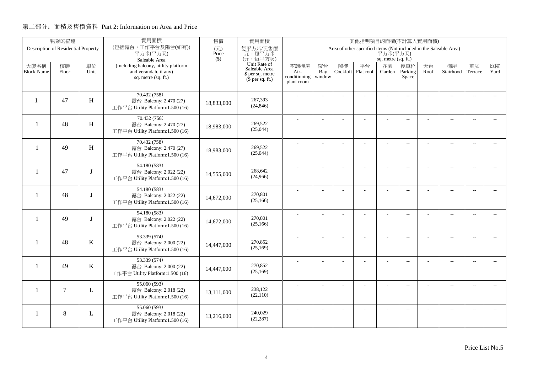|                          | 物業的描述                               |         | 實用面積                                                       | 售價           | 實用面積                                 |                      |                |          | 其他指明項目的面積(不計算入實用面積)                                               |                     |                          |      |                          |                          |                          |
|--------------------------|-------------------------------------|---------|------------------------------------------------------------|--------------|--------------------------------------|----------------------|----------------|----------|-------------------------------------------------------------------|---------------------|--------------------------|------|--------------------------|--------------------------|--------------------------|
|                          | Description of Residential Property |         | (包括露台,工作平台及陽台(如有))<br>平方米(平方呎)                             | (元)<br>Price | 每平方米/呎售價<br>元,每平方米                   |                      |                |          | Area of other specified items (Not included in the Saleable Area) | 平方米(平方呎)            |                          |      |                          |                          |                          |
|                          |                                     |         | Saleable Area                                              | $($ \$)      | (元,每平方呎)                             |                      |                |          |                                                                   | sq. metre (sq. ft.) |                          |      |                          |                          |                          |
| 大廈名稱                     | 樓層                                  | 單位      | (including balcony, utility platform                       |              | Unit Rate of<br>Saleable Area        | 空調機房                 | 窗台             | 閣樓       | 平台                                                                | 花園                  | 停車位                      | 天台   | 梯屋                       | 前庭                       | 庭院<br>Yard               |
| <b>Block Name</b>        | Floor                               | Unit    | and verandah, if any)<br>sq. metre (sq. ft.)               |              | \$ per sq. metre<br>$$$ per sq. ft.) | Air-<br>conditioning | Bay<br>window  | Cockloft | Flat roof                                                         | Garden              | Parking<br>Space         | Roof | Stairhood                | Terrace                  |                          |
|                          |                                     |         |                                                            |              |                                      | plant room           |                |          |                                                                   |                     |                          |      |                          |                          |                          |
|                          |                                     |         | 70.432 (758)                                               |              |                                      |                      |                |          |                                                                   |                     | $\overline{a}$           |      | $\overline{a}$           | $\overline{\phantom{a}}$ |                          |
| $\mathbf{1}$             | 47                                  | H       | 露台 Balcony: 2.470 (27)                                     | 18,833,000   | 267,393<br>(24, 846)                 |                      |                |          |                                                                   |                     |                          |      |                          |                          |                          |
|                          |                                     |         | 工作平台 Utility Platform:1.500 (16)                           |              |                                      |                      |                |          |                                                                   |                     |                          |      |                          |                          |                          |
| $\overline{\phantom{0}}$ | 48                                  | H       | 70.432 (758)<br>露台 Balcony: 2.470 (27)                     |              | 269,522                              |                      |                |          | ÷                                                                 | ÷                   | $\overline{a}$           |      | $\overline{a}$           | $\sim$                   |                          |
|                          |                                     |         | 工作平台 Utility Platform:1.500 (16)                           | 18,983,000   | (25,044)                             |                      |                |          |                                                                   |                     |                          |      |                          |                          |                          |
|                          |                                     |         | 70.432 (758)                                               |              |                                      |                      |                |          |                                                                   |                     |                          |      |                          |                          |                          |
| $\overline{\phantom{0}}$ | 49                                  | H       | 露台 Balcony: 2.470 (27)                                     | 18,983,000   | 269,522                              |                      | L.             |          |                                                                   | L,                  | $\overline{a}$           |      | $\overline{\phantom{a}}$ | $\sim$                   | $\overline{a}$           |
|                          |                                     |         | 工作平台 Utility Platform:1.500 (16)                           |              | (25,044)                             |                      |                |          |                                                                   |                     |                          |      |                          |                          |                          |
|                          |                                     |         | 54.180 (583)                                               |              |                                      |                      |                |          |                                                                   | ÷.                  | $\overline{a}$           |      | $\overline{\phantom{a}}$ | $\overline{\phantom{a}}$ | $- -$                    |
| -1                       | 47                                  | T       | 露台 Balcony: 2.022 (22)<br>工作平台 Utility Platform:1.500 (16) | 14,555,000   | 268,642<br>(24,966)                  |                      |                |          |                                                                   |                     |                          |      |                          |                          |                          |
|                          |                                     |         |                                                            |              |                                      |                      |                |          |                                                                   |                     |                          |      |                          |                          |                          |
| $\mathbf{1}$             | 48                                  | T       | 54.180 (583)<br>露台 Balcony: 2.022 (22)                     |              | 270,801                              |                      |                |          |                                                                   |                     | $\sim$                   |      | $\overline{\phantom{a}}$ | $\sim$                   | $\sim$                   |
|                          |                                     |         | 工作平台 Utility Platform:1.500 (16)                           | 14,672,000   | (25,166)                             |                      |                |          |                                                                   |                     |                          |      |                          |                          |                          |
|                          |                                     |         | 54.180 (583)                                               |              |                                      |                      | $\overline{a}$ |          |                                                                   | ÷,                  | $\overline{\phantom{m}}$ |      | $\overline{\phantom{m}}$ | $\overline{\phantom{a}}$ | $- -$                    |
| $\mathbf{1}$             | 49                                  | T       | 露台 Balcony: 2.022 (22)                                     | 14,672,000   | 270,801                              |                      |                |          |                                                                   |                     |                          |      |                          |                          |                          |
|                          |                                     |         | 工作平台 Utility Platform:1.500 (16)                           |              | (25,166)                             |                      |                |          |                                                                   |                     |                          |      |                          |                          |                          |
|                          |                                     |         | 53.339 (574)                                               |              |                                      |                      | ÷              |          |                                                                   | $\overline{a}$      | $\overline{a}$           |      | $\overline{a}$           | $\overline{\phantom{a}}$ | $- -$                    |
| $\mathbf{1}$             | 48                                  | $\bf K$ | 露台 Balcony: 2.000 (22)<br>工作平台 Utility Platform:1.500 (16) | 14,447,000   | 270,852<br>(25,169)                  |                      |                |          |                                                                   |                     |                          |      |                          |                          |                          |
|                          |                                     |         |                                                            |              |                                      |                      |                |          |                                                                   |                     |                          |      |                          |                          |                          |
| -1                       | 49                                  | K       | 53.339 (574)<br>露台 Balcony: 2.000 (22)                     |              | 270,852                              |                      | L.             |          | L,                                                                | L,                  | $\overline{\phantom{a}}$ |      | $\overline{\phantom{a}}$ | $\sim$                   | $\overline{a}$           |
|                          |                                     |         | 工作平台 Utility Platform:1.500 (16)                           | 14,447,000   | (25,169)                             |                      |                |          |                                                                   |                     |                          |      |                          |                          |                          |
|                          |                                     |         | 55.060 (593)                                               |              |                                      |                      |                |          | L,                                                                |                     | $\overline{\phantom{m}}$ |      | $\overline{\phantom{a}}$ | $\sim$                   | $- -$                    |
| $\mathbf{1}$             | $\overline{7}$                      | L       | 露台 Balcony: 2.018 (22)                                     | 13,111,000   | 238,122                              |                      |                |          |                                                                   |                     |                          |      |                          |                          |                          |
|                          |                                     |         | 工作平台 Utility Platform:1.500 (16)                           |              | (22,110)                             |                      |                |          |                                                                   |                     |                          |      |                          |                          |                          |
|                          |                                     |         | 55.060 (593)                                               |              | 240,029                              |                      |                |          |                                                                   |                     | $\overline{\phantom{a}}$ |      | $\overline{\phantom{m}}$ | $\overline{a}$           | $\overline{\phantom{a}}$ |
| -1                       | 8                                   | L       | 露台 Balcony: 2.018 (22)<br>工作平台 Utility Platform:1.500 (16) | 13.216.000   | (22, 287)                            |                      |                |          |                                                                   |                     |                          |      |                          |                          |                          |
|                          |                                     |         |                                                            |              |                                      |                      |                |          |                                                                   |                     |                          |      |                          |                          |                          |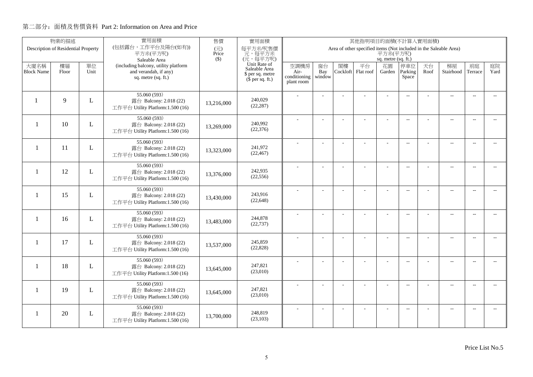|                   | 物業的描述                               |      | 實用面積                                                       | 售價           | 實用面積<br>其他指明項目的面積(不計算入實用面積)          |                      |                |          |                                                                   |                     |                          |      |                          |                          |                          |
|-------------------|-------------------------------------|------|------------------------------------------------------------|--------------|--------------------------------------|----------------------|----------------|----------|-------------------------------------------------------------------|---------------------|--------------------------|------|--------------------------|--------------------------|--------------------------|
|                   | Description of Residential Property |      | (包括露台,工作平台及陽台(如有))<br>平方米(平方呎)                             | (元)<br>Price | 每平方米/呎售價<br>元,每平方米                   |                      |                |          | Area of other specified items (Not included in the Saleable Area) | 平方米(平方呎)            |                          |      |                          |                          |                          |
|                   |                                     |      | Saleable Area                                              | $($ \$)      | (元,每平方呎)                             |                      |                |          |                                                                   | sq. metre (sq. ft.) |                          |      |                          |                          |                          |
| 大廈名稱              | 樓層                                  | 單位   | (including balcony, utility platform                       |              | Unit Rate of<br>Saleable Area        | 空調機房                 | 窗台             | 閣樓       | 平台                                                                | 花園                  | 停車位                      | 天台   | 梯屋                       | 前庭                       | 庭院                       |
| <b>Block Name</b> | Floor                               | Unit | and verandah, if any)<br>sq. metre (sq. ft.)               |              | \$ per sq. metre<br>$$$ per sq. ft.) | Air-<br>conditioning | Bay<br>window  | Cockloft | Flat roof                                                         | Garden              | Parking<br>Space         | Roof | Stairhood                | Terrace                  | Yard                     |
|                   |                                     |      |                                                            |              |                                      | plant room           |                |          |                                                                   |                     |                          |      |                          |                          |                          |
|                   |                                     |      | 55.060 (593)                                               |              |                                      |                      |                |          |                                                                   |                     | $\overline{a}$           |      | $\overline{a}$           | $\overline{\phantom{a}}$ |                          |
|                   | $\mathbf{Q}$                        | L    | 露台 Balcony: 2.018 (22)                                     | 13,216,000   | 240,029<br>(22, 287)                 |                      |                |          |                                                                   |                     |                          |      |                          |                          |                          |
|                   |                                     |      | 工作平台 Utility Platform:1.500 (16)                           |              |                                      |                      |                |          |                                                                   |                     |                          |      |                          |                          |                          |
| $\mathbf{1}$      | 10                                  | L    | 55.060 (593)                                               |              | 240,992                              |                      |                |          | ÷                                                                 | ÷                   | $\overline{a}$           |      | $\overline{a}$           | $\sim$                   |                          |
|                   |                                     |      | 露台 Balcony: 2.018 (22)<br>工作平台 Utility Platform:1.500 (16) | 13,269,000   | (22, 376)                            |                      |                |          |                                                                   |                     |                          |      |                          |                          |                          |
|                   |                                     |      | 55.060 (593)                                               |              |                                      |                      |                |          |                                                                   |                     |                          |      |                          |                          |                          |
| -1                | 11                                  | L    | 露台 Balcony: 2.018 (22)                                     | 13,323,000   | 241,972                              |                      | L.             |          |                                                                   | L,                  | $\overline{a}$           |      | $\overline{\phantom{a}}$ | $\sim$                   | $\overline{a}$           |
|                   |                                     |      | 工作平台 Utility Platform:1.500 (16)                           |              | (22, 467)                            |                      |                |          |                                                                   |                     |                          |      |                          |                          |                          |
|                   |                                     |      | 55.060 (593)                                               |              |                                      |                      |                |          |                                                                   | ÷.                  | $\overline{a}$           |      | $\overline{\phantom{a}}$ | $\overline{\phantom{a}}$ | $- -$                    |
| $\mathbf{1}$      | 12                                  | L    | 露台 Balcony: 2.018 (22)<br>工作平台 Utility Platform:1.500 (16) | 13,376,000   | 242,935<br>(22, 556)                 |                      |                |          |                                                                   |                     |                          |      |                          |                          |                          |
|                   |                                     |      |                                                            |              |                                      |                      |                |          |                                                                   |                     |                          |      |                          |                          |                          |
| $\mathbf{1}$      | 15                                  | L    | 55.060 (593)<br>露台 Balcony: 2.018 (22)                     |              | 243.916                              |                      |                |          |                                                                   |                     | $\sim$                   |      | $\overline{\phantom{a}}$ | $\sim$                   | $\sim$                   |
|                   |                                     |      | 工作平台 Utility Platform:1.500 (16)                           | 13,430,000   | (22, 648)                            |                      |                |          |                                                                   |                     |                          |      |                          |                          |                          |
|                   |                                     |      | 55.060(593)                                                |              |                                      |                      | $\overline{a}$ |          |                                                                   | ÷,                  | $\overline{\phantom{m}}$ |      | $\overline{\phantom{m}}$ | $\overline{\phantom{a}}$ | $- -$                    |
| $\mathbf{1}$      | 16                                  | L    | 露台 Balcony: 2.018 (22)                                     | 13,483,000   | 244,878                              |                      |                |          |                                                                   |                     |                          |      |                          |                          |                          |
|                   |                                     |      | 工作平台 Utility Platform:1.500 (16)                           |              | (22, 737)                            |                      |                |          |                                                                   |                     |                          |      |                          |                          |                          |
|                   |                                     |      | 55.060 (593)                                               |              |                                      |                      | ÷              |          |                                                                   | $\overline{a}$      | $\overline{a}$           |      | $\overline{a}$           | $\overline{\phantom{a}}$ | $- -$                    |
| $\mathbf{1}$      | 17                                  | L    | 露台 Balcony: 2.018 (22)<br>工作平台 Utility Platform:1.500 (16) | 13,537,000   | 245,859<br>(22, 828)                 |                      |                |          |                                                                   |                     |                          |      |                          |                          |                          |
|                   |                                     |      |                                                            |              |                                      |                      |                |          |                                                                   |                     |                          |      |                          |                          |                          |
| $\mathbf{1}$      | 18                                  | L    | 55.060(593)<br>露台 Balcony: 2.018 (22)                      | 13,645,000   | 247,821                              |                      | L.             |          | L,                                                                | L,                  | $\overline{\phantom{a}}$ |      | $\overline{\phantom{a}}$ | $\sim$                   | $\overline{a}$           |
|                   |                                     |      | 工作平台 Utility Platform:1.500 (16)                           |              | (23,010)                             |                      |                |          |                                                                   |                     |                          |      |                          |                          |                          |
|                   |                                     |      | 55.060 (593)                                               |              |                                      |                      | ÷              |          | L,                                                                |                     | $\overline{\phantom{m}}$ |      | $\overline{\phantom{a}}$ | $\sim$                   | $- -$                    |
| 1                 | 19                                  | L    | 露台 Balcony: 2.018 (22)                                     | 13,645,000   | 247,821<br>(23,010)                  |                      |                |          |                                                                   |                     |                          |      |                          |                          |                          |
|                   |                                     |      | 工作平台 Utility Platform:1.500 (16)                           |              |                                      |                      |                |          |                                                                   |                     |                          |      |                          |                          |                          |
| -1                | 20                                  |      | 55.060 (593)                                               |              | 248,819                              |                      |                |          |                                                                   |                     | $\overline{\phantom{a}}$ |      | $\overline{\phantom{m}}$ | $\overline{a}$           | $\overline{\phantom{a}}$ |
|                   |                                     | L    | 露台 Balcony: 2.018 (22)<br>工作平台 Utility Platform:1.500 (16) | 13,700,000   | (23, 103)                            |                      |                |          |                                                                   |                     |                          |      |                          |                          |                          |
|                   |                                     |      |                                                            |              |                                      |                      |                |          |                                                                   |                     |                          |      |                          |                          |                          |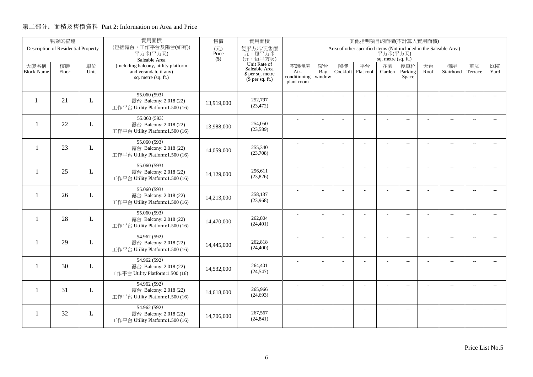|                          | 物業的描述                               |      | 實用面積                                                       | 售價           | 實用面積                          |                      |                |          | 其他指明項目的面積(不計算入實用面積)                                               |                     |                          |      |                          |                          |                |
|--------------------------|-------------------------------------|------|------------------------------------------------------------|--------------|-------------------------------|----------------------|----------------|----------|-------------------------------------------------------------------|---------------------|--------------------------|------|--------------------------|--------------------------|----------------|
|                          | Description of Residential Property |      | (包括露台,工作平台及陽台(如有))<br>平方米(平方呎)                             | (元)<br>Price | 每平方米/呎售價<br>元,每平方米            |                      |                |          | Area of other specified items (Not included in the Saleable Area) | 平方米(平方呎)            |                          |      |                          |                          |                |
|                          |                                     |      | Saleable Area                                              | $($ \$)      | (元,每平方呎)                      |                      |                |          |                                                                   | sq. metre (sq. ft.) |                          |      |                          |                          |                |
| 大廈名稱                     | 樓層                                  | 單位   | (including balcony, utility platform                       |              | Unit Rate of<br>Saleable Area | 空調機房                 | 窗台             | 閣樓       | 平台                                                                | 花園                  | 停車位                      | 天台   | 梯屋                       | 前庭                       | 庭院             |
| <b>Block Name</b>        | Floor                               | Unit | and verandah, if any)<br>sq. metre (sq. ft.)               |              | \$ per sq. metre              | Air-<br>conditioning | Bay<br>window  | Cockloft | Flat roof                                                         | Garden              | Parking<br>Space         | Roof | Stairhood                | Terrace                  | Yard           |
|                          |                                     |      |                                                            |              | $$$ per sq. ft.)              | plant room           |                |          |                                                                   |                     |                          |      |                          |                          |                |
|                          |                                     |      | 55.060 (593)                                               |              |                               |                      |                |          |                                                                   |                     | $\overline{a}$           |      | $\overline{a}$           | $\overline{\phantom{a}}$ |                |
| $\mathbf{1}$             | 21                                  | L    | 露台 Balcony: 2.018 (22)                                     | 13,919,000   | 252,797<br>(23, 472)          |                      |                |          |                                                                   |                     |                          |      |                          |                          |                |
|                          |                                     |      | 工作平台 Utility Platform:1.500 (16)                           |              |                               |                      |                |          |                                                                   |                     |                          |      |                          |                          |                |
|                          |                                     |      | 55.060 (593)                                               |              | 254,050                       |                      |                |          | ÷.                                                                | ÷                   | $\overline{a}$           |      | $\overline{a}$           | $\sim$                   |                |
| $\overline{\phantom{0}}$ | 22                                  | L    | 露台 Balcony: 2.018 (22)<br>工作平台 Utility Platform:1.500 (16) | 13,988,000   | (23,589)                      |                      |                |          |                                                                   |                     |                          |      |                          |                          |                |
|                          |                                     |      |                                                            |              |                               |                      |                |          |                                                                   |                     |                          |      |                          |                          |                |
| $\overline{\phantom{0}}$ | 23                                  | L    | 55.060 (593)<br>露台 Balcony: 2.018 (22)                     |              | 255,340                       |                      | L.             |          |                                                                   | L,                  | $\overline{a}$           |      | $\overline{\phantom{a}}$ | $\sim$                   | $\overline{a}$ |
|                          |                                     |      | 工作平台 Utility Platform:1.500 (16)                           | 14,059,000   | (23,708)                      |                      |                |          |                                                                   |                     |                          |      |                          |                          |                |
|                          |                                     |      | 55.060 (593)                                               |              |                               |                      |                |          |                                                                   | ÷.                  | $\overline{a}$           |      | $\overline{\phantom{a}}$ | $\overline{\phantom{a}}$ | $- -$          |
| -1                       | 25                                  | L    | 露台 Balcony: 2.018 (22)                                     | 14,129,000   | 256,611<br>(23,826)           |                      |                |          |                                                                   |                     |                          |      |                          |                          |                |
|                          |                                     |      | 工作平台 Utility Platform:1.500 (16)                           |              |                               |                      |                |          |                                                                   |                     |                          |      |                          |                          |                |
| $\mathbf{1}$             | 26                                  |      | 55.060 (593)                                               |              | 258,137                       |                      |                |          |                                                                   |                     | $\sim$                   |      | $\overline{\phantom{a}}$ | $\sim$                   | $\sim$         |
|                          |                                     | L    | 露台 Balcony: 2.018 (22)<br>工作平台 Utility Platform:1.500 (16) | 14,213,000   | (23,968)                      |                      |                |          |                                                                   |                     |                          |      |                          |                          |                |
|                          |                                     |      | 55.060(593)                                                |              |                               |                      |                |          |                                                                   |                     |                          |      |                          |                          |                |
| $\mathbf{1}$             | 28                                  | L    | 露台 Balcony: 2.018 (22)                                     | 14,470,000   | 262,804                       |                      | $\overline{a}$ |          |                                                                   | ÷,                  | $\overline{\phantom{m}}$ |      | $\overline{\phantom{m}}$ | $\overline{\phantom{a}}$ | $- -$          |
|                          |                                     |      | 工作平台 Utility Platform:1.500 (16)                           |              | (24, 401)                     |                      |                |          |                                                                   |                     |                          |      |                          |                          |                |
|                          |                                     |      | 54.962 (592)                                               |              |                               |                      | ÷              |          |                                                                   | $\overline{a}$      | $\overline{a}$           |      | $\overline{a}$           | $\overline{\phantom{a}}$ | $- -$          |
| $\mathbf{1}$             | 29                                  | L    | 露台 Balcony: 2.018 (22)                                     | 14,445,000   | 262,818<br>(24, 400)          |                      |                |          |                                                                   |                     |                          |      |                          |                          |                |
|                          |                                     |      | 工作平台 Utility Platform:1.500 (16)                           |              |                               |                      |                |          |                                                                   |                     |                          |      |                          |                          |                |
| -1                       | 30                                  | L    | 54.962 (592)<br>露台 Balcony: 2.018 (22)                     |              | 264,401                       |                      | L.             |          | L,                                                                | L,                  | $\overline{\phantom{a}}$ |      | $\overline{\phantom{a}}$ | $\sim$                   | $\overline{a}$ |
|                          |                                     |      | 工作平台 Utility Platform:1.500 (16)                           | 14,532,000   | (24, 547)                     |                      |                |          |                                                                   |                     |                          |      |                          |                          |                |
|                          |                                     |      | 54.962 (592)                                               |              |                               |                      |                |          |                                                                   |                     |                          |      |                          |                          |                |
| 1                        | 31                                  | L    | 露台 Balcony: 2.018 (22)                                     | 14,618,000   | 265,966                       |                      |                |          | L,                                                                |                     | $\overline{\phantom{m}}$ |      | $\overline{\phantom{a}}$ | $\sim$                   | $- -$          |
|                          |                                     |      | 工作平台 Utility Platform:1.500 (16)                           |              | (24, 693)                     |                      |                |          |                                                                   |                     |                          |      |                          |                          |                |
|                          |                                     |      | 54.962 (592)                                               |              |                               |                      |                |          |                                                                   |                     | $\overline{\phantom{a}}$ |      | $\overline{\phantom{m}}$ | $\overline{a}$           | $\overline{a}$ |
| 1                        | 32                                  | L    | 露台 Balcony: 2.018 (22)<br>工作平台 Utility Platform:1.500 (16) | 14,706,000   | 267,567<br>(24, 841)          |                      |                |          |                                                                   |                     |                          |      |                          |                          |                |
|                          |                                     |      |                                                            |              |                               |                      |                |          |                                                                   |                     |                          |      |                          |                          |                |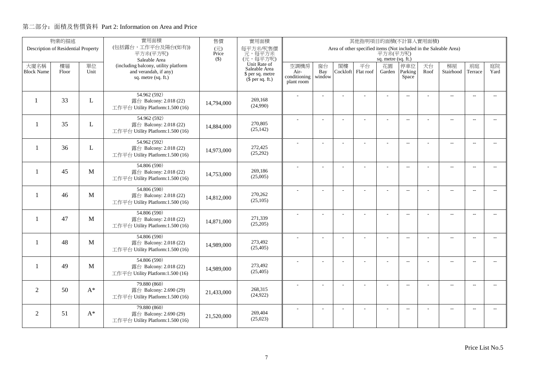|                          | 物業的描述                               |              | 實用面積                                                       | 售價           | 實用面積<br>其他指明項目的面積(不計算入實用面積)   |                      |                |          |                                                                   |                     |                          |      |                          |                          |                          |
|--------------------------|-------------------------------------|--------------|------------------------------------------------------------|--------------|-------------------------------|----------------------|----------------|----------|-------------------------------------------------------------------|---------------------|--------------------------|------|--------------------------|--------------------------|--------------------------|
|                          | Description of Residential Property |              | (包括露台,工作平台及陽台(如有))<br>平方米(平方呎)                             | (元)<br>Price | 每平方米/呎售價<br>元,每平方米            |                      |                |          | Area of other specified items (Not included in the Saleable Area) | 平方米(平方呎)            |                          |      |                          |                          |                          |
|                          |                                     |              | Saleable Area                                              | $($ \$)      | (元,每平方呎)                      |                      |                |          |                                                                   | sq. metre (sq. ft.) |                          |      |                          |                          |                          |
| 大廈名稱                     | 樓層                                  | 單位           | (including balcony, utility platform                       |              | Unit Rate of<br>Saleable Area | 空調機房                 | 窗台             | 閣樓       | 平台                                                                | 花園                  | 停車位                      | 天台   | 梯屋                       | 前庭                       | 庭院                       |
| <b>Block Name</b>        | Floor                               | Unit         | and verandah, if any)<br>sq. metre (sq. ft.)               |              | \$ per sq. metre              | Air-<br>conditioning | Bay<br>window  | Cockloft | Flat roof                                                         | Garden              | Parking<br>Space         | Roof | Stairhood                | Terrace                  | Yard                     |
|                          |                                     |              |                                                            |              | $$$ per sq. ft.)              | plant room           |                |          |                                                                   |                     |                          |      |                          |                          |                          |
|                          |                                     |              | 54.962 (592)                                               |              |                               |                      |                |          |                                                                   |                     | $\overline{a}$           |      | $\overline{a}$           | $\overline{\phantom{a}}$ |                          |
| $\mathbf{1}$             | 33                                  | L            | 露台 Balcony: 2.018 (22)                                     | 14,794,000   | 269,168                       |                      |                |          |                                                                   |                     |                          |      |                          |                          |                          |
|                          |                                     |              | 工作平台 Utility Platform:1.500 (16)                           |              | (24,990)                      |                      |                |          |                                                                   |                     |                          |      |                          |                          |                          |
|                          |                                     |              | 54.962 (592)                                               |              |                               |                      |                |          | ÷.                                                                | ÷                   | $\overline{a}$           |      | $\overline{a}$           | $\sim$                   | $\sim$                   |
| $\overline{\phantom{0}}$ | 35                                  | L            | 露台 Balcony: 2.018 (22)<br>工作平台 Utility Platform:1.500 (16) | 14,884,000   | 270,805<br>(25, 142)          |                      |                |          |                                                                   |                     |                          |      |                          |                          |                          |
|                          |                                     |              |                                                            |              |                               |                      |                |          |                                                                   |                     |                          |      |                          |                          |                          |
| $\overline{\phantom{0}}$ | 36                                  | L            | 54.962 (592)<br>露台 Balcony: 2.018 (22)                     |              | 272,425                       |                      | L.             |          |                                                                   | L,                  | $\overline{a}$           |      | $\overline{\phantom{a}}$ | $\sim$                   | $\overline{a}$           |
|                          |                                     |              | 工作平台 Utility Platform:1.500 (16)                           | 14.973.000   | (25,292)                      |                      |                |          |                                                                   |                     |                          |      |                          |                          |                          |
|                          |                                     |              | 54.806 (590)                                               |              |                               |                      |                |          |                                                                   |                     |                          |      |                          |                          |                          |
| -1                       | 45                                  | M            | 露台 Balcony: 2.018 (22)                                     | 14,753,000   | 269,186                       |                      |                |          |                                                                   | ÷.                  | $\overline{a}$           |      | $\overline{\phantom{a}}$ | $\overline{\phantom{a}}$ | $- -$                    |
|                          |                                     |              | 工作平台 Utility Platform:1.500 (16)                           |              | (25,005)                      |                      |                |          |                                                                   |                     |                          |      |                          |                          |                          |
|                          |                                     |              | 54.806 (590)                                               |              |                               |                      |                |          |                                                                   |                     | $\sim$                   |      | $\overline{\phantom{a}}$ | $\sim$                   | $\sim$                   |
| $\mathbf{1}$             | 46                                  | M            | 露台 Balcony: 2.018 (22)                                     | 14,812,000   | 270,262<br>(25,105)           |                      |                |          |                                                                   |                     |                          |      |                          |                          |                          |
|                          |                                     |              | 工作平台 Utility Platform:1.500 (16)                           |              |                               |                      |                |          |                                                                   |                     |                          |      |                          |                          |                          |
| $\mathbf{1}$             | 47                                  | M            | 54.806 (590)                                               |              | 271.339                       |                      | $\overline{a}$ |          |                                                                   | ÷,                  | $\overline{\phantom{m}}$ |      | $\overline{\phantom{m}}$ | $\overline{\phantom{a}}$ | $- -$                    |
|                          |                                     |              | 露台 Balcony: 2.018 (22)<br>工作平台 Utility Platform:1.500 (16) | 14,871,000   | (25,205)                      |                      |                |          |                                                                   |                     |                          |      |                          |                          |                          |
|                          |                                     |              | 54.806 (590)                                               |              |                               |                      |                |          |                                                                   |                     |                          |      |                          |                          |                          |
| $\mathbf{1}$             | 48                                  | M            | 露台 Balcony: 2.018 (22)                                     | 14.989.000   | 273,492                       |                      | ÷              |          |                                                                   | $\overline{a}$      | $\overline{a}$           |      | $\overline{a}$           | $\overline{\phantom{a}}$ | $\overline{\phantom{0}}$ |
|                          |                                     |              | 工作平台 Utility Platform:1.500 (16)                           |              | (25, 405)                     |                      |                |          |                                                                   |                     |                          |      |                          |                          |                          |
|                          |                                     |              | 54.806 (590)                                               |              |                               |                      | L.             |          | L,                                                                | L,                  | $\overline{\phantom{a}}$ |      | $\overline{\phantom{a}}$ | $\sim$                   | $\overline{a}$           |
| -1                       | 49                                  | $\mathbf{M}$ | 露台 Balcony: 2.018 (22)                                     | 14,989,000   | 273.492<br>(25, 405)          |                      |                |          |                                                                   |                     |                          |      |                          |                          |                          |
|                          |                                     |              | 工作平台 Utility Platform:1.500 (16)                           |              |                               |                      |                |          |                                                                   |                     |                          |      |                          |                          |                          |
| $\overline{2}$           | 50                                  | $A^*$        | 79.880 (860)<br>露台 Balcony: 2.690 (29)                     |              | 268,315                       |                      | ÷              |          | L,                                                                |                     | $\overline{\phantom{m}}$ |      | $\overline{\phantom{a}}$ | $\sim$                   | $\overline{\phantom{a}}$ |
|                          |                                     |              | 工作平台 Utility Platform:1.500 (16)                           | 21,433,000   | (24, 922)                     |                      |                |          |                                                                   |                     |                          |      |                          |                          |                          |
|                          |                                     |              | 79.880 (860)                                               |              |                               |                      |                |          |                                                                   |                     |                          |      |                          |                          |                          |
| $\overline{2}$           | 51                                  | $A^*$        | 露台 Balcony: 2.690 (29)                                     | 21,520,000   | 269,404                       |                      |                |          |                                                                   |                     | $\overline{\phantom{a}}$ |      | $\overline{\phantom{m}}$ | $\overline{a}$           | $\overline{a}$           |
|                          |                                     |              | 工作平台 Utility Platform:1.500 (16)                           |              | (25,023)                      |                      |                |          |                                                                   |                     |                          |      |                          |                          |                          |
|                          |                                     |              |                                                            |              |                               |                      |                |          |                                                                   |                     |                          |      |                          |                          |                          |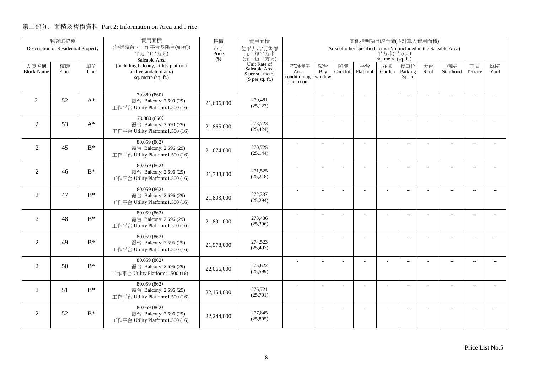|                   | 物業的描述                               |       | 實用面積                                                       | 售價           | 實用面積<br>其他指明項目的面積(不計算入實用面積)          |                      |                |          |                                                                   |                     |                          |      |                          |                          |                          |
|-------------------|-------------------------------------|-------|------------------------------------------------------------|--------------|--------------------------------------|----------------------|----------------|----------|-------------------------------------------------------------------|---------------------|--------------------------|------|--------------------------|--------------------------|--------------------------|
|                   | Description of Residential Property |       | (包括露台,工作平台及陽台(如有))<br>平方米(平方呎)                             | (元)<br>Price | 每平方米/呎售價<br>元,每平方米                   |                      |                |          | Area of other specified items (Not included in the Saleable Area) | 平方米(平方呎)            |                          |      |                          |                          |                          |
|                   |                                     |       | Saleable Area                                              | $($ \$)      | (元,每平方呎)                             |                      |                |          |                                                                   | sq. metre (sq. ft.) |                          |      |                          |                          |                          |
| 大廈名稱              | 樓層                                  | 單位    | (including balcony, utility platform                       |              | Unit Rate of<br>Saleable Area        | 空調機房                 | 窗台             | 閣樓       | 平台                                                                | 花園                  | 停車位                      | 天台   | 梯屋                       | 前庭                       | 庭院                       |
| <b>Block Name</b> | Floor                               | Unit  | and verandah, if any)<br>sq. metre (sq. ft.)               |              | \$ per sq. metre<br>$$$ per sq. ft.) | Air-<br>conditioning | Bay<br>window  | Cockloft | Flat roof                                                         | Garden              | Parking<br>Space         | Roof | Stairhood                | Terrace                  | Yard                     |
|                   |                                     |       |                                                            |              |                                      | plant room           |                |          |                                                                   |                     |                          |      |                          |                          |                          |
|                   |                                     |       | 79.880 (860)                                               |              |                                      |                      |                |          |                                                                   |                     | $\overline{a}$           |      | $\overline{\phantom{a}}$ | $\overline{\phantom{a}}$ |                          |
| 2                 | 52                                  | $A^*$ | 露台 Balcony: 2.690 (29)                                     | 21,606,000   | 270.481<br>(25, 123)                 |                      |                |          |                                                                   |                     |                          |      |                          |                          |                          |
|                   |                                     |       | 工作平台 Utility Platform:1.500 (16)                           |              |                                      |                      |                |          |                                                                   |                     |                          |      |                          |                          |                          |
| $\overline{2}$    | 53                                  | $A^*$ | 79.880 (860)<br>露台 Balcony: 2.690 (29)                     |              | 273,723                              |                      |                |          | ÷.                                                                | ÷                   | $\overline{\phantom{a}}$ |      | $\overline{\phantom{a}}$ | $\sim$                   | $\sim$                   |
|                   |                                     |       | 工作平台 Utility Platform:1.500 (16)                           | 21,865,000   | (25, 424)                            |                      |                |          |                                                                   |                     |                          |      |                          |                          |                          |
|                   |                                     |       | 80.059 (862)                                               |              |                                      |                      |                |          |                                                                   |                     |                          |      |                          |                          |                          |
| $\overline{2}$    | 45                                  | $B^*$ | 露台 Balcony: 2.696 (29)                                     | 21,674,000   | 270,725                              |                      | L.             |          |                                                                   | L,                  | $\overline{a}$           |      | $\overline{\phantom{a}}$ | $\overline{\phantom{a}}$ | $\overline{\phantom{a}}$ |
|                   |                                     |       | 工作平台 Utility Platform:1.500 (16)                           |              | (25, 144)                            |                      |                |          |                                                                   |                     |                          |      |                          |                          |                          |
|                   |                                     |       | 80.059 (862)                                               |              |                                      |                      |                |          |                                                                   | ÷.                  | $\overline{\phantom{a}}$ |      | $\overline{\phantom{a}}$ | $\overline{\phantom{a}}$ | $\overline{\phantom{a}}$ |
| $\overline{2}$    | 46                                  | $B^*$ | 露台 Balcony: 2.696 (29)                                     | 21,738,000   | 271,525<br>(25,218)                  |                      |                |          |                                                                   |                     |                          |      |                          |                          |                          |
|                   |                                     |       | 工作平台 Utility Platform:1.500 (16)                           |              |                                      |                      |                |          |                                                                   |                     |                          |      |                          |                          |                          |
| $\overline{2}$    | 47                                  | $B^*$ | 80.059 (862)<br>露台 Balcony: 2.696 (29)                     |              | 272,337                              |                      |                |          |                                                                   |                     | $\sim$                   |      | $\overline{\phantom{a}}$ | $\sim$                   | $\sim$                   |
|                   |                                     |       | 工作平台 Utility Platform:1.500 (16)                           | 21,803,000   | (25,294)                             |                      |                |          |                                                                   |                     |                          |      |                          |                          |                          |
|                   |                                     |       | 80.059 (862)                                               |              |                                      |                      | $\overline{a}$ |          |                                                                   | ÷,                  | $\overline{\phantom{m}}$ |      | $\overline{\phantom{m}}$ | $\overline{\phantom{a}}$ | $- -$                    |
| $\overline{2}$    | 48                                  | $B^*$ | 露台 Balcony: 2.696 (29)                                     | 21,891,000   | 273,436                              |                      |                |          |                                                                   |                     |                          |      |                          |                          |                          |
|                   |                                     |       | 工作平台 Utility Platform:1.500 (16)                           |              | (25,396)                             |                      |                |          |                                                                   |                     |                          |      |                          |                          |                          |
|                   |                                     |       | 80.059 (862)                                               |              |                                      |                      | ÷              |          |                                                                   | $\overline{a}$      | $\overline{\phantom{a}}$ |      | $\overline{\phantom{a}}$ | $\overline{\phantom{a}}$ | $\overline{\phantom{0}}$ |
| $\overline{2}$    | 49                                  | $B^*$ | 露台 Balcony: 2.696 (29)<br>工作平台 Utility Platform:1.500 (16) | 21,978,000   | 274,523<br>(25, 497)                 |                      |                |          |                                                                   |                     |                          |      |                          |                          |                          |
|                   |                                     |       |                                                            |              |                                      |                      |                |          |                                                                   |                     |                          |      |                          |                          |                          |
| $\overline{2}$    | 50                                  | $B^*$ | 80.059 (862)<br>露台 Balcony: 2.696 (29)                     |              | 275,622                              |                      | L.             |          | L,                                                                | L,                  | $\overline{\phantom{a}}$ |      | $\overline{a}$           | $\sim$                   | $\overline{a}$           |
|                   |                                     |       | 工作平台 Utility Platform:1.500 (16)                           | 22,066,000   | (25,599)                             |                      |                |          |                                                                   |                     |                          |      |                          |                          |                          |
|                   |                                     |       | 80.059 (862)                                               |              |                                      |                      |                |          |                                                                   |                     | $\overline{\phantom{m}}$ |      | $\overline{\phantom{a}}$ | $\sim$                   | $\overline{\phantom{a}}$ |
| $\overline{2}$    | 51                                  | $B^*$ | 露台 Balcony: 2.696 (29)                                     | 22,154,000   | 276,721                              |                      |                |          |                                                                   |                     |                          |      |                          |                          |                          |
|                   |                                     |       | 工作平台 Utility Platform:1.500 (16)                           |              | (25,701)                             |                      |                |          |                                                                   |                     |                          |      |                          |                          |                          |
|                   |                                     |       | 80.059 (862)                                               |              |                                      |                      |                |          |                                                                   |                     | $\overline{\phantom{a}}$ |      | $\overline{\phantom{m}}$ | $\overline{a}$           | $\overline{\phantom{a}}$ |
| 2                 | 52                                  | $B^*$ | 露台 Balcony: 2.696 (29)<br>工作平台 Utility Platform:1.500 (16) | 22,244,000   | 277,845<br>(25,805)                  |                      |                |          |                                                                   |                     |                          |      |                          |                          |                          |
|                   |                                     |       |                                                            |              |                                      |                      |                |          |                                                                   |                     |                          |      |                          |                          |                          |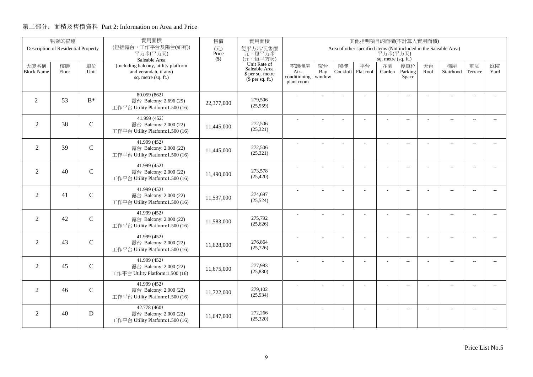|                   | 物業的描述                               |               | 實用面積                                                       | 售價           | 實用面積                          |                      |                          |          | 其他指明項目的面積(不計算入實用面積)                                               |                          |                          |      |                          |                          |                             |
|-------------------|-------------------------------------|---------------|------------------------------------------------------------|--------------|-------------------------------|----------------------|--------------------------|----------|-------------------------------------------------------------------|--------------------------|--------------------------|------|--------------------------|--------------------------|-----------------------------|
|                   | Description of Residential Property |               | (包括露台,工作平台及陽台(如有))<br>平方米(平方呎)                             | (元)<br>Price | 每平方米/呎售價<br>元,每平方米            |                      |                          |          | Area of other specified items (Not included in the Saleable Area) | 平方米(平方呎)                 |                          |      |                          |                          |                             |
|                   |                                     |               | Saleable Area                                              | $($ \$)      | (元,每平方呎)                      |                      |                          |          |                                                                   | sq. metre (sq. ft.)      |                          |      |                          |                          |                             |
| 大廈名稱              | 樓層                                  | 單位            | (including balcony, utility platform                       |              | Unit Rate of<br>Saleable Area | 空調機房                 | 窗台                       | 閣樓       | 平台                                                                | 花園                       | 停車位                      | 天台   | 梯屋                       | 前庭                       | 庭院                          |
| <b>Block Name</b> | Floor                               | Unit          | and verandah, if any)<br>sq. metre (sq. ft.)               |              | \$ per sq. metre              | Air-<br>conditioning | Bay<br>window            | Cockloft | Flat roof                                                         | Garden                   | Parking<br>Space         | Roof | Stairhood                | Terrace                  | Yard                        |
|                   |                                     |               |                                                            |              | $(\bar{\S}$ per sq. ft.)      | plant room           |                          |          |                                                                   |                          |                          |      |                          |                          |                             |
|                   |                                     |               | 80.059 (862)                                               |              |                               |                      |                          |          |                                                                   |                          | $\overline{\phantom{a}}$ |      | $\overline{\phantom{a}}$ | $\overline{\phantom{a}}$ |                             |
| 2                 | 53                                  | $B^*$         | 露台 Balcony: 2.696 (29)                                     | 22,377,000   | 279,506                       |                      |                          |          |                                                                   |                          |                          |      |                          |                          |                             |
|                   |                                     |               | 工作平台 Utility Platform:1.500 (16)                           |              | (25,959)                      |                      |                          |          |                                                                   |                          |                          |      |                          |                          |                             |
|                   |                                     |               | 41.999 (452)                                               |              | 272,506                       |                      |                          |          | ÷.                                                                | ÷                        | $\overline{\phantom{a}}$ |      | $\overline{\phantom{a}}$ | $\sim$                   | $\sim$                      |
| $\overline{2}$    | 38                                  | $\mathcal{C}$ | 露台 Balcony: 2.000 (22)<br>工作平台 Utility Platform:1.500 (16) | 11,445,000   | (25, 321)                     |                      |                          |          |                                                                   |                          |                          |      |                          |                          |                             |
|                   |                                     |               |                                                            |              |                               |                      |                          |          |                                                                   |                          |                          |      |                          |                          |                             |
| $\overline{2}$    | 39                                  | $\mathcal{C}$ | 41.999 (452)<br>露台 Balcony: 2.000 (22)                     |              | 272,506                       |                      |                          |          |                                                                   | L,                       | $\overline{\phantom{a}}$ |      | $\overline{\phantom{a}}$ | $\sim$                   | $\overline{\phantom{a}}$    |
|                   |                                     |               | 工作平台 Utility Platform:1.500 (16)                           | 11,445,000   | (25, 321)                     |                      |                          |          |                                                                   |                          |                          |      |                          |                          |                             |
|                   |                                     |               | 41.999 (452)                                               |              |                               |                      |                          |          |                                                                   | L,                       | $\overline{\phantom{a}}$ |      | $\overline{\phantom{a}}$ | $\overline{\phantom{a}}$ | $\overline{\phantom{a}}$    |
| $\overline{2}$    | 40                                  | $\mathcal{C}$ | 露台 Balcony: 2.000 (22)                                     | 11,490,000   | 273,578                       |                      |                          |          |                                                                   |                          |                          |      |                          |                          |                             |
|                   |                                     |               | 工作平台 Utility Platform:1.500 (16)                           |              | (25, 420)                     |                      |                          |          |                                                                   |                          |                          |      |                          |                          |                             |
|                   |                                     |               | 41.999 (452)                                               |              |                               |                      |                          |          |                                                                   | ÷.                       | $\sim$ $\sim$            |      | $\overline{a}$           | $\sim$                   | $\sim$                      |
| 2                 | 41                                  | $\mathsf{C}$  | 露台 Balcony: 2.000 (22)<br>工作平台 Utility Platform:1.500 (16) | 11,537,000   | 274,697<br>(25, 524)          |                      |                          |          |                                                                   |                          |                          |      |                          |                          |                             |
|                   |                                     |               |                                                            |              |                               |                      |                          |          |                                                                   |                          |                          |      |                          |                          |                             |
| $\overline{2}$    | 42                                  | $\mathcal{C}$ | 41.999(452)<br>露台 Balcony: 2.000 (22)                      |              | 275,792                       |                      | $\overline{\phantom{a}}$ |          |                                                                   | ÷,                       | $\overline{\phantom{m}}$ |      | $\overline{\phantom{a}}$ | $\overline{\phantom{a}}$ | $- -$                       |
|                   |                                     |               | 工作平台 Utility Platform:1.500 (16)                           | 11,583,000   | (25,626)                      |                      |                          |          |                                                                   |                          |                          |      |                          |                          |                             |
|                   |                                     |               | 41.999 (452)                                               |              |                               |                      | ÷.                       |          |                                                                   | L,                       | $\overline{\phantom{a}}$ |      | $\overline{a}$           | $\overline{\phantom{a}}$ | $- -$                       |
| $\overline{2}$    | 43                                  | $\mathcal{C}$ | 露台 Balcony: 2.000 (22)                                     | 11,628,000   | 276,864                       |                      |                          |          |                                                                   |                          |                          |      |                          |                          |                             |
|                   |                                     |               | 工作平台 Utility Platform:1.500 (16)                           |              | (25, 726)                     |                      |                          |          |                                                                   |                          |                          |      |                          |                          |                             |
|                   |                                     |               | 41.999(452)                                                |              |                               |                      | L,                       |          | L                                                                 | $\overline{\phantom{a}}$ | $\overline{a}$           |      | $\overline{\phantom{a}}$ | $\sim$                   | $\overline{\phantom{a}}$    |
| 2                 | 45                                  | $\mathcal{C}$ | 露台 Balcony: 2.000 (22)                                     | 11,675,000   | 277,983<br>(25, 830)          |                      |                          |          |                                                                   |                          |                          |      |                          |                          |                             |
|                   |                                     |               | 工作平台 Utility Platform:1.500 (16)                           |              |                               |                      |                          |          |                                                                   |                          |                          |      |                          |                          |                             |
| $\overline{2}$    | 46                                  | $\mathcal{C}$ | 41.999 (452)<br>露台 Balcony: 2.000 (22)                     |              | 279,102                       |                      |                          |          | L,                                                                |                          | $-$                      |      | $\overline{\phantom{a}}$ | $\sim$                   | $\overline{\phantom{a}}$    |
|                   |                                     |               | 工作平台 Utility Platform:1.500 (16)                           | 11,722,000   | (25,934)                      |                      |                          |          |                                                                   |                          |                          |      |                          |                          |                             |
|                   |                                     |               | 42.778 (460)                                               |              |                               |                      |                          |          |                                                                   |                          |                          |      |                          |                          |                             |
| 2                 | 40                                  | D             | 露台 Balcony: 2.000 (22)                                     | 11,647,000   | 272,266                       |                      |                          |          |                                                                   |                          | $\overline{\phantom{m}}$ |      | $\overline{\phantom{a}}$ | $\sim$                   | $\mathcal{L}_{\mathcal{F}}$ |
|                   |                                     |               | 工作平台 Utility Platform:1.500 (16)                           |              | (25, 320)                     |                      |                          |          |                                                                   |                          |                          |      |                          |                          |                             |
|                   |                                     |               |                                                            |              |                               |                      |                          |          |                                                                   |                          |                          |      |                          |                          |                             |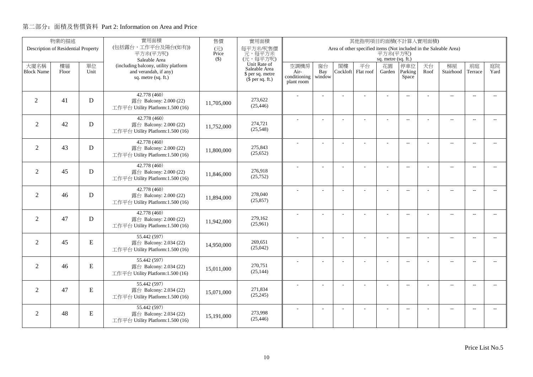|                   | 物業的描述                               |           | 實用面積                                                       | 售價                                | 實用面積                          |                      |                |          | 其他指明項目的面積(不計算入實用面積)                                               |                     |                          |      |                          |                          |                             |
|-------------------|-------------------------------------|-----------|------------------------------------------------------------|-----------------------------------|-------------------------------|----------------------|----------------|----------|-------------------------------------------------------------------|---------------------|--------------------------|------|--------------------------|--------------------------|-----------------------------|
|                   | Description of Residential Property |           | (包括露台,工作平台及陽台(如有))<br>平方米(平方呎)                             | $(\overrightarrow{\pi})$<br>Price | 每平方米/呎售價<br>元,每平方米            |                      |                |          | Area of other specified items (Not included in the Saleable Area) | 平方米(平方呎)            |                          |      |                          |                          |                             |
|                   |                                     |           | Saleable Area                                              | $($ \$)                           | (元,每平方呎)                      |                      |                |          |                                                                   | sq. metre (sq. ft.) |                          |      |                          |                          |                             |
| 大廈名稱              | 樓層                                  | 單位        | (including balcony, utility platform                       |                                   | Unit Rate of<br>Saleable Area | 空調機房                 | 窗台             | 閣樓       | 平台                                                                | 花園                  | 停車位                      | 天台   | 梯屋                       | 前庭                       | 庭院                          |
| <b>Block Name</b> | Floor                               | Unit      | and verandah, if any)<br>sq. metre (sq. ft.)               |                                   | \$ per sq. metre              | Air-<br>conditioning | Bay<br>window  | Cockloft | Flat roof                                                         | Garden              | Parking<br>Space         | Roof | Stairhood                | Terrace                  | Yard                        |
|                   |                                     |           |                                                            |                                   | $(\bar{\S}$ per sq. ft.)      | plant room           |                |          |                                                                   |                     |                          |      |                          |                          |                             |
|                   |                                     |           | 42.778 (460)                                               |                                   |                               |                      |                |          |                                                                   |                     |                          |      |                          |                          |                             |
| $\overline{2}$    | 41                                  | D         | 露台 Balcony: 2.000 (22)                                     | 11,705,000                        | 273,622                       |                      |                |          |                                                                   |                     | $\overline{a}$           |      | $\overline{\phantom{a}}$ | $\sim$                   |                             |
|                   |                                     |           | 工作平台 Utility Platform:1.500 (16)                           |                                   | (25, 446)                     |                      |                |          |                                                                   |                     |                          |      |                          |                          |                             |
|                   |                                     |           | 42.778 (460)                                               |                                   |                               |                      |                |          |                                                                   |                     | $\overline{\phantom{a}}$ |      | $\overline{\phantom{a}}$ | $\sim$                   |                             |
| $\overline{2}$    | 42                                  | D         | 露台 Balcony: 2.000 (22)                                     | 11,752,000                        | 274,721                       |                      |                |          |                                                                   |                     |                          |      |                          |                          |                             |
|                   |                                     |           | 工作平台 Utility Platform:1.500 (16)                           |                                   | (25,548)                      |                      |                |          |                                                                   |                     |                          |      |                          |                          |                             |
|                   |                                     |           | 42.778 (460)                                               |                                   |                               |                      | $\overline{a}$ |          | L.                                                                | ÷                   | $\overline{\phantom{a}}$ |      | $\overline{a}$           | $\overline{\phantom{a}}$ | $-$                         |
| $\overline{2}$    | 43                                  | D         | 露台 Balcony: 2.000 (22)<br>工作平台 Utility Platform:1.500 (16) | 11,800,000                        | 275,843<br>(25, 652)          |                      |                |          |                                                                   |                     |                          |      |                          |                          |                             |
|                   |                                     |           |                                                            |                                   |                               |                      |                |          |                                                                   |                     |                          |      |                          |                          |                             |
| $\overline{2}$    | 45                                  | D         | 42.778 (460)<br>露台 Balcony: 2.000 (22)                     |                                   | 276,918                       |                      |                |          |                                                                   |                     | $\overline{\phantom{a}}$ |      | $\overline{\phantom{a}}$ | $\overline{\phantom{a}}$ | $- -$                       |
|                   |                                     |           | 工作平台 Utility Platform:1.500 (16)                           | 11,846,000                        | (25,752)                      |                      |                |          |                                                                   |                     |                          |      |                          |                          |                             |
|                   |                                     |           | 42.778 (460)                                               |                                   |                               |                      |                |          |                                                                   |                     |                          |      |                          |                          |                             |
| $\overline{2}$    | 46                                  | D         | 露台 Balcony: 2.000 (22)                                     |                                   | 278,040                       |                      |                |          |                                                                   | ÷.                  | $\overline{\phantom{a}}$ |      | $\overline{a}$           | $\overline{\phantom{a}}$ | $- -$                       |
|                   |                                     |           | 工作平台 Utility Platform:1.500 (16)                           | 11,894,000                        | (25, 857)                     |                      |                |          |                                                                   |                     |                          |      |                          |                          |                             |
|                   |                                     |           | 42.778 (460)                                               |                                   |                               |                      | $\overline{a}$ |          |                                                                   | ÷,                  | $\overline{\phantom{a}}$ |      | $\overline{a}$           | $\overline{\phantom{a}}$ | $\overline{\phantom{a}}$    |
| $\overline{2}$    | 47                                  | D         | 露台 Balcony: 2.000 (22)                                     | 11,942,000                        | 279,162                       |                      |                |          |                                                                   |                     |                          |      |                          |                          |                             |
|                   |                                     |           | 工作平台 Utility Platform:1.500 (16)                           |                                   | (25,961)                      |                      |                |          |                                                                   |                     |                          |      |                          |                          |                             |
|                   |                                     |           | 55.442 (597)                                               |                                   |                               |                      | L.             |          |                                                                   | L,                  | $\overline{\phantom{a}}$ |      | $\overline{a}$           | $\overline{a}$           | $\overline{a}$              |
| $\overline{2}$    | 45                                  | ${\bf E}$ | 露台 Balcony: 2.034 (22)                                     | 14.950,000                        | 269,651<br>(25,042)           |                      |                |          |                                                                   |                     |                          |      |                          |                          |                             |
|                   |                                     |           | 工作平台 Utility Platform:1.500 (16)                           |                                   |                               |                      |                |          |                                                                   |                     |                          |      |                          |                          |                             |
| $\overline{2}$    | 46                                  | ${\bf E}$ | 55.442 (597)                                               |                                   | 270,751                       |                      | $\overline{a}$ |          | ÷,                                                                | ÷,                  | $\overline{\phantom{a}}$ |      | $\overline{\phantom{a}}$ | $\sim$                   | $- -$                       |
|                   |                                     |           | 露台 Balcony: 2.034 (22)<br>工作平台 Utility Platform:1.500 (16) | 15,011,000                        | (25, 144)                     |                      |                |          |                                                                   |                     |                          |      |                          |                          |                             |
|                   |                                     |           |                                                            |                                   |                               |                      |                |          |                                                                   |                     |                          |      |                          |                          |                             |
| $\overline{2}$    | 47                                  | ${\bf E}$ | 55.442 (597)<br>露台 Balcony: 2.034 (22)                     |                                   | 271,834                       |                      | ÷              |          | ÷                                                                 | ÷                   | $\overline{a}$           |      | $\overline{a}$           | $\overline{\phantom{a}}$ | $\overline{\phantom{a}}$    |
|                   |                                     |           | 工作平台 Utility Platform:1.500 (16)                           | 15,071,000                        | (25, 245)                     |                      |                |          |                                                                   |                     |                          |      |                          |                          |                             |
|                   |                                     |           | 55.442 (597)                                               |                                   |                               |                      |                |          |                                                                   |                     | $\overline{\phantom{a}}$ |      | $\overline{\phantom{m}}$ | $\overline{a}$           | $\mathcal{L}_{\mathcal{F}}$ |
| 2                 | 48                                  | ${\bf E}$ | 露台 Balcony: 2.034 (22)                                     | 15,191,000                        | 273,998                       |                      |                |          |                                                                   |                     |                          |      |                          |                          |                             |
|                   |                                     |           | 工作平台 Utility Platform:1.500 (16)                           |                                   | (25, 446)                     |                      |                |          |                                                                   |                     |                          |      |                          |                          |                             |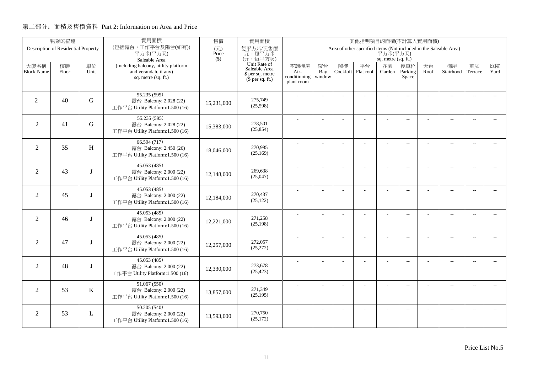| 物業的描述                               |             |             | 實用面積                                                          | 其他指明項目的面積(不計算入實用面積) |                                              |                                                                               |           |                |                 |                          |                          |            |                          |                          |                          |  |
|-------------------------------------|-------------|-------------|---------------------------------------------------------------|---------------------|----------------------------------------------|-------------------------------------------------------------------------------|-----------|----------------|-----------------|--------------------------|--------------------------|------------|--------------------------|--------------------------|--------------------------|--|
| Description of Residential Property |             |             | (包括露台,工作平台及陽台(如有))<br>平方米(平方呎)                                | (元)<br>Price        | 每平方米/呎售價<br>元,每平方米                           | Area of other specified items (Not included in the Saleable Area)<br>平方米(平方呎) |           |                |                 |                          |                          |            |                          |                          |                          |  |
|                                     |             |             | Saleable Area                                                 | $($ \$)             | (元,每平方呎)                                     | sq. metre (sq. ft.)                                                           |           |                |                 |                          |                          |            |                          |                          |                          |  |
| 大廈名稱<br><b>Block Name</b>           | 樓層<br>Floor | 單位<br>Unit  | (including balcony, utility platform<br>and verandah, if any) |                     | Unit Rate of<br>Saleable Area                | 空調機房<br>Air-                                                                  | 窗台<br>Bay | 閣樓<br>Cockloft | 平台<br>Flat roof | 花園<br>Garden             | 停車位<br>Parking           | 天台<br>Roof | 梯屋<br>Stairhood          | 前庭<br>Terrace            | 庭院<br>Yard               |  |
|                                     |             |             | sq. metre (sq. ft.)                                           |                     | \$ per sq. metre<br>$(\bar{\S}$ per sq. ft.) | conditioning                                                                  | window    |                |                 |                          | Space                    |            |                          |                          |                          |  |
|                                     |             |             |                                                               |                     |                                              | plant room                                                                    |           |                |                 |                          |                          |            |                          |                          |                          |  |
|                                     |             |             | 55.235(595)                                                   |                     |                                              |                                                                               |           |                |                 |                          | $\overline{\phantom{a}}$ |            | $\overline{\phantom{a}}$ | $\overline{\phantom{a}}$ |                          |  |
| 2                                   | 40          | G           | 露台 Balcony: 2.028 (22)                                        | 15,231,000          | 275,749<br>(25,598)                          |                                                                               |           |                |                 |                          |                          |            |                          |                          |                          |  |
|                                     |             |             | 工作平台 Utility Platform:1.500 (16)                              |                     |                                              |                                                                               |           |                |                 |                          |                          |            |                          |                          |                          |  |
| $\overline{2}$                      | 41          | G           | 55.235 (595)<br>露台 Balcony: 2.028 (22)                        |                     | 278,501                                      |                                                                               |           |                | ÷.              | ÷                        | $\overline{\phantom{a}}$ |            | $\overline{a}$           | $\sim$                   | $\sim$                   |  |
|                                     |             |             | 工作平台 Utility Platform:1.500 (16)                              | 15,383,000          | (25, 854)                                    |                                                                               |           |                |                 |                          |                          |            |                          |                          |                          |  |
|                                     |             |             | 66.594 (717)                                                  |                     |                                              |                                                                               |           |                |                 |                          |                          |            |                          |                          |                          |  |
| $\overline{2}$                      | 35          | H           | 露台 Balcony: 2.450 (26)                                        | 18,046,000          | 270,985                                      |                                                                               | L,        |                |                 | L,                       | $\overline{\phantom{a}}$ |            | $\overline{\phantom{a}}$ | $\sim$                   | $\overline{a}$           |  |
|                                     |             |             | 工作平台 Utility Platform:1.500 (16)                              |                     | (25,169)                                     |                                                                               |           |                |                 |                          |                          |            |                          |                          |                          |  |
|                                     |             |             | 45.053 (485)                                                  |                     |                                              |                                                                               |           |                |                 | L,                       | $\overline{\phantom{a}}$ |            | $\overline{\phantom{a}}$ | $\overline{\phantom{a}}$ | $\overline{\phantom{a}}$ |  |
| 2                                   | 43          |             | 露台 Balcony: 2.000 (22)                                        | 12,148,000          | 269,638<br>(25,047)                          |                                                                               |           |                |                 |                          |                          |            |                          |                          |                          |  |
|                                     |             |             | 工作平台 Utility Platform:1.500 (16)                              |                     |                                              |                                                                               |           |                |                 |                          |                          |            |                          |                          |                          |  |
| 2                                   | 45          | I           | 45.053 (485)<br>露台 Balcony: 2.000 (22)                        |                     | 270,437                                      |                                                                               |           |                |                 | ÷.                       | $\sim$ $\sim$            |            | $\overline{a}$           | $\sim$                   | $\sim$                   |  |
|                                     |             |             | 工作平台 Utility Platform:1.500 (16)                              | 12,184,000          | (25, 122)                                    |                                                                               |           |                |                 |                          |                          |            |                          |                          |                          |  |
|                                     |             |             | 45.053(485)                                                   |                     |                                              |                                                                               |           |                |                 |                          |                          |            |                          |                          |                          |  |
| $\overline{2}$                      | 46          | I           | 露台 Balcony: 2.000 (22)                                        | 12,221,000          | 271,258                                      |                                                                               | ÷,        |                |                 | ÷,                       | $\overline{\phantom{m}}$ |            | $\overline{\phantom{a}}$ | $\overline{\phantom{a}}$ | $- -$                    |  |
|                                     |             |             | 工作平台 Utility Platform:1.500 (16)                              |                     | (25,198)                                     |                                                                               |           |                |                 |                          |                          |            |                          |                          |                          |  |
|                                     |             |             | 45.053 (485)                                                  |                     |                                              |                                                                               | ÷.        |                |                 | L,                       | $\overline{\phantom{a}}$ |            | $\overline{a}$           | $\overline{\phantom{a}}$ | $- -$                    |  |
| $\overline{2}$                      | 47          | I           | 露台 Balcony: 2.000 (22)                                        | 12,257,000          | 272,057<br>(25,272)                          |                                                                               |           |                |                 |                          |                          |            |                          |                          |                          |  |
|                                     |             |             | 工作平台 Utility Platform:1.500 (16)                              |                     |                                              |                                                                               |           |                |                 |                          |                          |            |                          |                          |                          |  |
| 2                                   | 48          | $\mathbf I$ | 45.053(485)<br>露台 Balcony: 2.000 (22)                         |                     | 273,678                                      |                                                                               | J.        |                | L               | $\overline{\phantom{a}}$ | $\overline{a}$           |            | $\overline{\phantom{a}}$ | $\sim$                   | $\overline{\phantom{a}}$ |  |
|                                     |             |             | 工作平台 Utility Platform:1.500 (16)                              | 12,330,000          | (25, 423)                                    |                                                                               |           |                |                 |                          |                          |            |                          |                          |                          |  |
|                                     |             |             | 51.067 (550)                                                  |                     |                                              |                                                                               |           |                |                 |                          |                          |            |                          |                          |                          |  |
| $\overline{2}$                      | 53          | K           | 露台 Balcony: 2.000 (22)                                        | 13,857,000          | 271,349                                      |                                                                               |           |                | L,              |                          | $-$                      |            | $\overline{\phantom{a}}$ | $\sim$                   | $\overline{\phantom{a}}$ |  |
|                                     |             |             | 工作平台 Utility Platform:1.500 (16)                              |                     | (25, 195)                                    |                                                                               |           |                |                 |                          |                          |            |                          |                          |                          |  |
|                                     |             |             | 50.205 (540)                                                  |                     |                                              |                                                                               |           |                |                 |                          | $\overline{\phantom{m}}$ |            | $\overline{\phantom{a}}$ | $\sim$                   | $\sim$                   |  |
| 2                                   | 53          | L           | 露台 Balcony: 2.000 (22)                                        | 13,593,000          | 270,750<br>(25, 172)                         |                                                                               |           |                |                 |                          |                          |            |                          |                          |                          |  |
|                                     |             |             | 工作平台 Utility Platform:1.500 (16)                              |                     |                                              |                                                                               |           |                |                 |                          |                          |            |                          |                          |                          |  |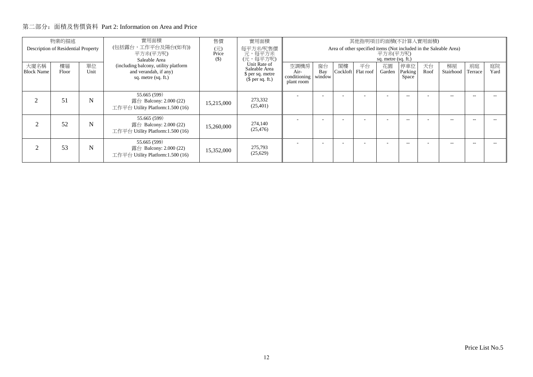| 物業的描述<br>Description of Residential Property |             |            | 實用面積<br>(包括露台,工作平台及陽台(如有))<br>平方米(平方呎)<br>Saleable Area                              | 售價<br>$\overline{(\overline{\tau})}$<br>Price<br>$($)$ | 實用面積<br>每平方米/呎售價<br>元,每平方米<br>(元,每平方呎)                                | 其他指明項目的面積(不計算入實用面積)<br>Area of other specified items (Not included in the Saleable Area)<br>平方米(平方呎)<br>sq. metre (sq. ft.) |                     |                |                 |              |                         |            |                 |               |            |
|----------------------------------------------|-------------|------------|--------------------------------------------------------------------------------------|--------------------------------------------------------|-----------------------------------------------------------------------|-----------------------------------------------------------------------------------------------------------------------------|---------------------|----------------|-----------------|--------------|-------------------------|------------|-----------------|---------------|------------|
| 大廈名稱<br><b>Block Name</b>                    | 樓層<br>Floor | 單位<br>Unit | (including balcony, utility platform<br>and verandah, if any)<br>sq. metre (sq. ft.) |                                                        | Unit Rate of<br>Saleable Area<br>\$ per sq. metre<br>$$$ per sq. ft.) | 空調機房<br>Air-<br>conditioning<br>plant room                                                                                  | 窗台<br>Bay<br>window | 閣樓<br>Cockloft | 平台<br>Flat roof | 花園<br>Garden | 停車位<br>Parking<br>Space | 天台<br>Roof | 梯屋<br>Stairhood | 前庭<br>Terrace | 庭院<br>Yard |
| $\mathcal{D}_{\mathcal{L}}$                  | 51          | N          | 55.665 (599)<br>露台 Balcony: $2.000(22)$<br>工作平台 Utility Platform:1.500 (16)          | 15,215,000                                             | 273,332<br>(25, 401)                                                  |                                                                                                                             |                     |                |                 |              | --                      |            | --              |               |            |
| $\mathcal{D}_{1}^{(1)}$                      | 52          | N          | 55.665 (599)<br>露台 Balcony: 2.000 (22)<br>工作平台 Utility Platform:1.500 (16)           | 15,260,000                                             | 274,140<br>(25, 476)                                                  |                                                                                                                             |                     |                |                 | ٠.           | --                      |            | $-$             |               |            |
| 2                                            | 53          | N          | 55.665 (599)<br>露台 Balcony: 2.000 (22)<br>工作平台 Utility Platform:1.500 (16)           | 15,352,000                                             | 275,793<br>(25,629)                                                   |                                                                                                                             |                     |                |                 |              |                         |            | --              |               |            |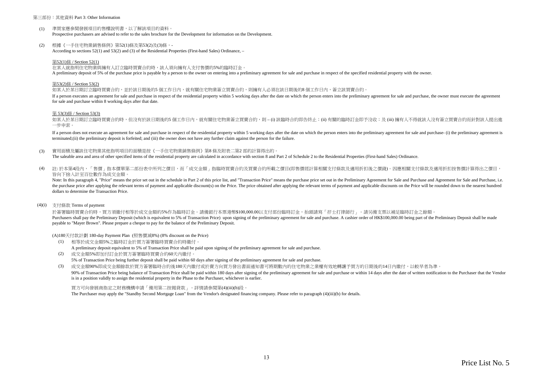#### 第三部份:其他資料 Part 3: Other Information

- $(1)$ 準買家應參閱發展項目的售樓說明書,以了解該項目的資料。Prospective purchasers are advised to refer to the sales brochure for the Development for information on the Development.
- (2)根據《一手住宅物業銷售條例》第52(1)條及第53(2)及(3)條,-According to sections 52(1) and 53(2) and (3) of the Residential Properties (First-hand Sales) Ordinance, –

#### 第52(1)條 / Section 52(1)

在某人就指明住宅物業與擁有人訂立臨時買賣合約時,該人須向擁有人支付售價的5%的臨時訂金。

A preliminary deposit of 5% of the purchase price is payable by a person to the owner on entering into a preliminary agreement for sale and purchase in respect of the specified residential property with the owner.

#### 第53(2)條 / Section 53(2)

如某人於某日期訂立臨時買賣合約,並於該日期後的5 個工作日內,就有關住宅物業簽立買賣合約,則擁有人必須在該日期後的8 個工作日內,簽立該買賣合約。

If a person executes an agreement for sale and purchase in respect of the residential property within 5 working days after the date on which the person enters into the preliminary agreement for sale and purchase, the owner for sale and purchase within 8 working days after that date.

#### 第 53(3)條 / Section 53(3)

如某人於某日期訂立臨時買賣合約時,但沒有於該日期後的5 個工作日内,就有關住宅物業簽立買賣合約,則 – (i) 該臨時合約即告終止;(ii) 有關的臨時訂金即予沒收;及 (iii) 擁有人不得就該人沒有簽立買賣合約而針對該人提出進 一步申索。

If a person does not execute an agreement for sale and purchase in respect of the residential property within 5 working days after the date on which the person enters into the preliminary agreement for sale and purchase- ( terminated;(ii) the preliminary deposit is forfeited; and (iii) the owner does not have any further claim against the person for the failure.

(3)實用面積及屬該住宅物業其他指明項目的面積是按《一手住宅物業銷售條例》第8 條及附表二第2 部的計算得出的。

The saleable area and area of other specified items of the residential property are calculated in accordance with section 8 and Part 2 of Schedule 2 to the Residential Properties (First-hand Sales) Ordinance.

(4) 註: 於本第4段內,「售價」指本價單第二部份表中所列之價目,而「成交金額」指臨時買賣合約及買賣合約所載之價目(即售價經計算相關支付條款及適用折扣後之價錢)。因應相關支付條款及適用折扣按售價計算得出之價目, 皆向下捨入計至百位數作為成交金額。

Note: In this paragraph 4, "Price" means the price set out in the schedule in Part 2 of this price list, and "Transaction Price" means the purchase price set out in the Preliminary Agreement for Sale and Purchase and Agree the purchase price after applying the relevant terms of payment and applicable discount(s) on the Price. The price obtained after applying the relevant terms of payment and applicable discounts on the Price will be rounded dollars to determine the Transaction Price.

#### (4)(i)支付條款 Terms of payment

於簽署臨時買賣合約時,買方須繳付相等於成交金額的5%作為臨時訂金。請備銀行本票港幣\$100,000.00以支付部份臨時訂金,抬頭請寫「孖士打律師行」。請另備支票以補足臨時訂金之餘額。 Purchasers shall pay the Preliminary Deposit (which is equivalent to 5% of Transaction Price) upon signing of the preliminary agreement for sale and purchase. A cashier order of HK\$100,000.00 being part of the Preliminary payable to "Mayer Brown". Please prepare a cheque to pay for the balance of the Preliminary Deposit.

(A)180天付款計劃 180-day Payment Plan (照售價減8%) (8% discount on the Price)

- (1) 相等於成交金額5%之臨時訂金於買方簽署臨時買賣合約時繳付。A preliminary deposit equivalent to 5% of Transaction Price shall be paid upon signing of the preliminary agreement for sale and purchase.
- (2) 成交金額5%即加付訂金於買方簽署臨時買賣合約60天內繳付。5% of Transaction Price being further deposit shall be paid within 60 days after signing of the preliminary agreement for sale and purchase.

(3)成交金額90%即成交金額餘款於買方簽署臨時合約後180天內繳付或於賣方向買方發出書面通知書可將期數內的住宅物業之業權有效地轉讓予買方的日期後的14日內繳付,以較早者為準。

90% of Transaction Price being balance of Transaction Price shall be paid within 180 days after signing of the preliminary agreement for sale and purchase or within 14 days after the date of written notification to the Pur is in a position validly to assign the residential property in the Phase to the Purchaser, whichever is earlier.

買方可向發展商指定之財務機構申請「備用第二按揭貸款」。詳情請參閱第(4)(iii)(b)段。The Purchaser may apply the "Standby Second Mortgage Loan" from the Vendor's designated financing company. Please refer to paragraph (4)(iii)(b) for details.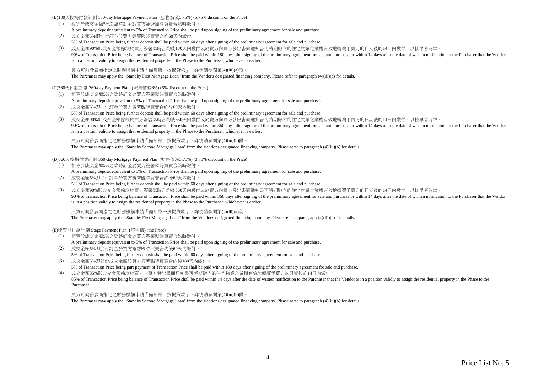(B)180天按揭付款計劃 180-day Mortgage Payment Plan (照售價減5.75%) (5.75% discount on the Price)

- (1) 相等於成交金額5%之臨時訂金於買方簽署臨時買賣合約時繳付。A preliminary deposit equivalent to 5% of Transaction Price shall be paid upon signing of the preliminary agreement for sale and purchase.
- (2) 成交金額5%即加付訂金於買方簽署臨時買賣合約60天內繳付。5% of Transaction Price being further deposit shall be paid within 60 days after signing of the preliminary agreement for sale and purchase.
- (3) 成交金額90%即成交金額餘款於買方簽署臨時合約後180天內繳付或於賣方向買方發出書面通知書可將期數內的住宅物業之業權有效地轉讓予買方的日期後的14日內繳付,以較早者為準。90% of Transaction Price being balance of Transaction Price shall be paid within 180 days after signing of the preliminary agreement for sale and purchase or within 14 days after the date of written notification to the Pur is in a position validly to assign the residential property in the Phase to the Purchaser, whichever is earlier.

買方可向發展商指定之財務機構申請「備用第一按揭貸款」。詳情請參閱第(4)(iii)(a)段。

The Purchaser may apply the "Standby First Mortgage Loan" from the Vendor's designated financing company. Please refer to paragraph (4)(iii)(a) for details.

(C)360天付款計劃 360-day Payment Plan (照售價減6%) (6% discount on the Price)

(1) 相等於成交金額5%之臨時訂金於買方簽署臨時買賣合約時繳付。

A preliminary deposit equivalent to 5% of Transaction Price shall be paid upon signing of the preliminary agreement for sale and purchase.

- (2) 成交金額5%即加付訂金於買方簽署臨時買賣合約後60天內繳付。5% of Transaction Price being further deposit shall be paid within 60 days after signing of the preliminary agreement for sale and purchase.
- (3) 成交金額90%即成交金額餘款於買方簽署臨時合約後360天內繳付或於賣方向買方發出書面通知書可將期數內的住宅物業之業權有效地轉讓予買方的日期後的14日內繳付,以較早者為準。90% of Transaction Price being balance of Transaction Price shall be paid within 360 days after signing of the preliminary agreement for sale and purchase or within 14 days after the date of written notification to the Pur is in a position validly to assign the residential property in the Phase to the Purchaser, whichever is earlier.

買方可向發展商指定之財務機構申請「備用第二按揭貸款」。詳情請參閱第(4)(iii)(b)段。

The Purchaser may apply the "Standby Second Mortgage Loan" from the Vendor's designated financing company. Please refer to paragraph (4)(iii)(b) for details.

(D)360天按揭付款計劃 360-day Mortgage Payment Plan (照售價減3.75%) (3.75% discount on the Price)

- (1) 相等於成交金額5%之臨時訂金於買方簽署臨時買賣合約時繳付。A preliminary deposit equivalent to 5% of Transaction Price shall be paid upon signing of the preliminary agreement for sale and purchase.
- (2) 成交金額5%即加付訂金於買方簽署臨時買賣合約後60天內繳付。5% of Transaction Price being further deposit shall be paid within 60 days after signing of the preliminary agreement for sale and purchase.
- (3) 成交金額90%即成交金額餘款於買方簽署臨時合約後360天內繳付或於賣方向買方發出書面通知書可將期數內的住宅物業之業權有效地轉讓予買方的日期後的14日內繳付,以較早者為準。90% of Transaction Price being balance of Transaction Price shall be paid within 360 days after signing of the preliminary agreement for sale and purchase or within 14 days after the date of written notification to the Pur is in a position validly to assign the residential property in the Phase to the Purchaser, whichever is earlier.

買方可向發展商指定之財務機構申請「備用第一按揭貸款」。詳情請參閱第(4)(iii)(a)段。

The Purchaser may apply the "Standby First Mortgage Loan" from the Vendor's designated financing company. Please refer to paragraph (4)(iii)(a) for details.

(E)建築期付款計劃 Stage Payment Plan (照售價) (the Price)

- (1) 相等於成交金額5%之臨時訂金於買方簽署臨時買賣合約時繳付。A preliminary deposit equivalent to 5% of Transaction Price shall be paid upon signing of the preliminary agreement for sale and purchase.
- (2) 成交金額5%即加付訂金於買方簽署臨時買賣合約後60天內繳付。5% of Transaction Price being further deposit shall be paid within 60 days after signing of the preliminary agreement for sale and purchase.
- (3) 成交金額5%即部份成交金額於買方簽署臨時買賣合約後180天內繳付。5% of Transaction Price being part payment of Transaction Price shall be paid within 180 days after signing of the preliminary agreement for sale and purchase.

(4) 成交金額85%即成交金額餘款於賣方向買方發出書面通知書可將期數內的住宅物業之業權有效地轉讓予買方的日期後的14日內繳付。85% of Transaction Price being balance of Transaction Price shall be paid within 14 days after the date of written notification to the Purchaser that the Vendor is in a position validly to assign the residential property i Purchaser.

買方可向發展商指定之財務機構申請「備用第二按揭貸款」。詳情請參閱第(4)(iii)(b)段。

The Purchaser may apply the "Standby Second Mortgage Loan" from the Vendor's designated financing company. Please refer to paragraph (4)(iii)(b) for details.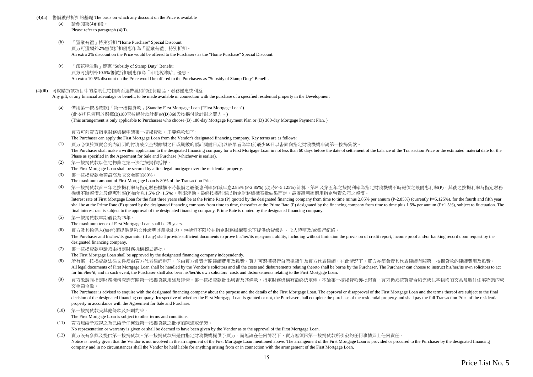#### (4)(ii)售價獲得折扣的基礎 The basis on which any discount on the Price is available

- (a) 請參閱第(4)(i)段。Please refer to paragraph (4)(i).
- (b) 「置業有禮」特別折扣 "Home Purchase" Special Discount: 買方可獲額外2%售價折扣優惠作為「置業有禮」特別折扣。An extra 2% discount on the Price would be offered to the Purchasers as the "Home Purchase" Special Discount.
- $(c)$  「印花稅津貼」優惠 "Subsidy of Stamp Duty" Benefit: 買方可獲額外10.5%售價折扣優惠作為「印花稅津貼」優惠。An extra 10.5% discount on the Price would be offered to the Purchasers as "Subsidy of Stamp Duty" Benefit.

#### (4)(iii) 可就購買該項目中的指明住宅物業而連帶獲得的任何贈品、財務優惠或利益

Any gift, or any financial advantage or benefit, to be made available in connection with the purchase of a specified residential property in the Development

(a) 備用第一按揭貸款(「第一按揭貸款」)Standby First Mortgage Loan ("First Mortgage Loan")(此安排只適用於選擇(B)180天按揭付款計劃或(D)360天按揭付款計劃之買方。)(This arrangement is only applicable to Purchasers who choose (B) 180-day Mortgage Payment Plan or (D) 360-day Mortgage Payment Plan. )

買方可向賣方指定財務機構申請第一按揭貸款。主要條款如下:

The Purchaser can apply the First Mortgage Loan from the Vendor's designated financing company. Key terms are as follows:

(1) 買方必須於買賣合約內訂明的付清成交金額餘額之日或期數的預計關鍵日期(以較早者為準)前最少60日以書面向指定財務機構申請第一按揭貸款。

The Purchaser shall make a written application to the designated financing company for a First Mortgage Loan in not less than 60 days before the date of settlement of the balance of the Transaction Price or the estimated m Phase as specified in the Agreement for Sale and Purchase (whichever is earlier).

- (2) 第一按揭貸款以住宅物業之第一法定按揭作抵押。The First Mortgage Loan shall be secured by a first legal mortgage over the residential property.
- (3) 第一按揭貸款金額最高為成交金額的80%。The maximum amount of First Mortgage Loan is 80% of the Transaction Price.

(4) 第一按揭貸款首三年之按揭利率為指定財務機構不時報價之最優惠利率(P)減年息2.85% (P-2.85%) (現時P=5.125%) 計算,第四及第五年之按揭利率為指定財務機構不時報價之最優惠利率(P),其後之按揭利率為指定財務機構不時報價之最優惠利率(P)加年息1.5% (P+1.5%),利率浮動。最終按揭利率以指定財務機構審批結果而定。最優惠利率選用指定融資公司之報價。 Interest rate of First Mortgage Loan for the first three years shall be at the Prime Rate (P) quoted by the designated financing company from time to time minus 2.85% per annum (P-2.85%) (currently P=5.125%), for the fourt shall be at the Prime Rate (P) quoted by the designated financing company from time to time, thereafter at the Prime Rate (P) designated by the financing company from time to time plus 1.5% per annum (P+1.5%), subject to f

final interest rate is subject to the approval of the designated financing company. Prime Rate is quoted by the designated financing company.

(5) 第一按揭貸款年期最長為25年。

The maximum tenor of First Mortgage Loan shall be 25 years.

(6) 買方及其擔保人(如有)須提供足夠文件證明其還款能力,包括但不限於在指定財務機構要求下提供信貸報告、收入證明及/或銀行紀錄。

The Purchaser and his/her/its guarantor (if any) shall provide sufficient documents to prove his/her/its repayment ability, including without limitation the provision of credit report, income proof and/or banking record up designated financing company.

(7) 第一按揭貸款申請須由指定財務機構獨立審批。

The First Mortgage Loan shall be approved by the designated financing company independently.

- (8)所有第一按揭貸款法律文件須由賣方代表律師辦理,並由買方負責有關律師費用及雜費。買方可選擇另行自聘律師作為買方代表律師,在此情況下,買方亦須負責其代表律師有關第一按揭貸款的律師費用及雜費。 All legal documents of First Mortgage Loan shall be handled by the Vendor's solicitors and all the costs and disbursements relating thereto shall be borne by the Purchaser. The Purchaser can choose to instruct his/her/its for him/her/it, and in such event, the Purchaser shall also bear his/her/its own solicitors' costs and disbursements relating to the First Mortgage Loan.
- (9) 買方敬請向指定財務機構查詢有關第一按揭貸款用途及詳情。第一按揭貸款批出與否及其條款,指定財務機構有最終決定權。不論第一按揭貸款獲批與否,買方仍須按買賣合約完成住宅物業的交易及繳付住宅物業的成交金額全數。

The Purchaser is advised to enquire with the designated financing company about the purpose and the details of the First Mortgage Loan. The approval or disapproval of the First Mortgage Loan and the terms thereof are subje decision of the designated financing company. Irrespective of whether the First Mortgage Loan is granted or not, the Purchaser shall complete the purchase of the residential property and shall pay the full Transaction Pric property in accordance with the Agreement for Sale and Purchase.

(10) 第一按揭貸款受其他條款及細則約束。

The First Mortgage Loan is subject to other terms and conditions.

- (11) 賣方無給予或視之為已給予任何就第一按揭貸款之批核的陳述或保證。No representation or warranty is given or shall be deemed to have been given by the Vendor as to the approval of the First Mortgage Loan.
- (12) 賣方沒有參與及提供第一按揭貸款。第一按揭貸款只是由指定財務機構提供予買方。而無論在任何情況下,賣方無須因第一按揭貸款所引發的任何事情負上任何責任。Notice is hereby given that the Vendor is not involved in the arrangement of the First Mortgage Loan mentioned above. The arrangement of the First Mortgage Loan is provided or procured to the Purchaser by the designated fi company and in no circumstances shall the Vendor be held liable for anything arising from or in connection with the arrangement of the First Mortgage Loan.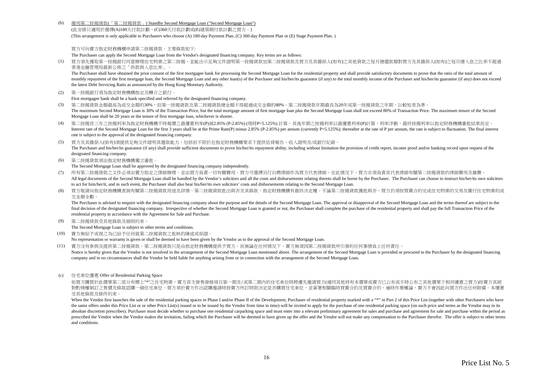$(h)$ 備用第二按揭貸款(「第二按揭貸款」) Standby Second Mortgage Loan ("Second Mortgage Loan")

(此安排只適用於選擇(A)180天付款計劃、(C)360天付款計劃或(E)建築期付款計劃之買方。)(This arrangement is only applicable to Purchasers who choose (A) 180-day Payment Plan, (C) 360-day Payment Plan or (E) Stage Payment Plan. )

買方可向賣方指定財務機構申請第二按揭貸款。主要條款如下:

The Purchaser can apply the Second Mortgage Loan from the Vendor's designated financing company. Key terms are as follows:

 買方須先獲取第一按揭銀行同意辦理住宅物業之第二按揭,並能出示足夠文件證明第一按揭貸款加第二按揭貸款及買方及其擔保人(如有)之其他貸款之每月總還款額對買方及其擔保人(如有)之每月總入息之比率不超過 $(1)$ 香港金融管理局最新公佈之「供款與入息比率」。

The Purchaser shall have obtained the prior consent of the first mortgagee bank for processing the Second Mortgage Loan for the residential property and shall provide satisfactory documents to prove that the ratio of the t monthly repayment of the first mortgage loan, the Second Mortgage Loan and any other loan(s) of the Purchaser and his/her/its guarantor (if any) to the total monthly income of the Purchaser and his/her/its guarantor (if an the latest Debt Servicing Ratio as announced by the Hong Kong Monetary Authority.

(2) 第一按揭銀行須為指定財務機構指定及轉介之銀行。

First mortgagee bank shall be a bank specified and referred by the designated financing company.

- (3) 第二按揭貸款金額最高為成交金額的30%,但第一按揭貸款及第二按揭貸款總金額不得超過成交金額的80%。第二按揭貸款年期最長為20年或第一按揭貸款之年期,以較短者為準。 The maximum Second Mortgage Loan is 30% of the Transaction Price, but the total mortgage amount of first mortgage loan plus the Second Mortgage Loan shall not exceed 80% of Transaction Price. The maximum tenure of the Seco Mortgage Loan shall be 20 years or the tenure of first mortgage loan, whichever is shorter.
- (4) 第二按揭言三年之按揭利率為指定財務機構不時報價之最優惠利率(P)減2.85% (P-2.85%) (現時P=5.125%) 計算,其後年期之按揭利率以最優惠利率(P)計算,利率浮動。最終按揭利率以指定財務機構審批結果而定。 Interest rate of the Second Mortgage Loan for the first 3 years shall be at the Prime Rate(P) minus 2.85% (P-2.85%) per annum (currently P=5.125%); thereafter at the rate of P per annum, the rate is subject to fluctuation. rate is subject to the approval of the designated financing company.
- (5) 買方及其擔保人(如有)須提供足夠文件證明其還款能力,包括但不限於在指定財務機構要求下提供信貸報告、收入證明及/或銀行紀錄。The Purchaser and his/her/its guarantor (if any) shall provide sufficient documents to prove his/her/its repayment ability, including without limitation the provision of credit report, income proof and/or banking record up designated financing company.
- (6) 第二按揭貸款須由指定財務機構獨立審批。

The Second Mortgage Loan shall be approved by the designated financing company independently.

- (7) 所有第二按揭貸款之文件必須由賣方指定之律師辦理,並由買方負責一切有關費用。買方可選擇另行自聘律師作為買方代表律師,在此情況下,買方亦須負責其代表律師有關第二按揭貸款的律師費用及雜費。 All legal documents of the Second Mortgage Loan shall be handled by the Vendor's solicitors and all the costs and disbursements relating thereto shall be borne by the Purchaser. The Purchaser can choose to instruct his/her to act for him/her/it, and in such event, the Purchaser shall also bear his/her/its own solicitors' costs and disbursements relating to the Second Mortgage Loan.
- (8) 買方敬請向指定財務機構查詢有關第二按揭貸款用途及詳情。第二按揭貸款批出與否及其條款,指定財務機構有最終決定權。不論第二按揭貸款獲批與否,買方仍須按買賣合約完成住宅物業的交易及繳付住宅物業的成交金額全數。

The Purchaser is advised to enquire with the designated financing company about the purpose and the details of the Second Mortgage Loan. The approval or disapproval of the Second Mortgage Loan and the terms thereof are sub final decision of the designated financing company. Irrespective of whether the Second Mortgage Loan is granted or not, the Purchaser shall complete the purchase of the residential property and shall pay the full Transacti residential property in accordance with the Agreement for Sale and Purchase.

(9) 第二按揭貸款受其他條款及細則約束。

The Second Mortgage Loan is subject to other terms and conditions.

(10) 賣方無給予或視之為已給予任何就第二按揭貸款之批核的陳述或保證。

No representation or warranty is given or shall be deemed to have been given by the Vendor as to the approval of the Second Mortgage Loan.

- (11) 賣方沒有參與及提供第二按揭貸款。第二按揭貸款只是由指定財務機構提供予買方。而無論在任何情況下,賣方無須因第二按揭貸款所引發的任何事情負上任何責任。
- Notice is hereby given that the Vendor is not involved in the arrangement of the Second Mortgage Loan mentioned above. The arrangement of the Second Mortgage Loan is provided or procured to the Purchaser by the designated company and in no circumstances shall the Vendor be held liable for anything arising from or in connection with the arrangement of the Second Mortgage Loan.
- (c) 住宅車位優惠 Offer of Residential Parking Space

如買方購買於此價單第二部分有標上"\*"之住宅物業,賣方首次發售發展項目第一期及/或第二期內的住宅車位時將優先邀請買方(連同其他持有本價單或賣方已公布或不時公布之其他價單下相同優惠之買方)按賣方其絕 對酌情權制訂之售價及條款認購一個住宅車位。買方須於賣方作出認購邀請時按賣方所訂時限決定是否購買住宅車位,並簽署相關臨時買賣合約及買賣合約,逾時作棄權論,賣方不會因此向買方作出任何賠償。本優惠 受其他條款及條件約束。

When the Vendor first launches the sale of the residential parking spaces in Phase I and/or Phase II of the Development, Purchaser of residential property marked with a "\*" in Part 2 of this Price List (together with other the same offers under this Price List or or other Price List(s) issued or to be issued by the Vendor from time to time) will be invited to apply for the purchase of one residential parking space (on such price and terms as absolute discretion prescribes). Purchaser must decide whether to purchase one residential carparking space and must enter into a relevant preliminary agreement for sales and purchase and agreement for sale and purchase wi prescribed the Vendor when the Vendor makes the invitation, failing which the Purchaser will be deemed to have given up the offer and the Vendor will not make any compensation to the Purchaser therefor. The offer is subjec and conditions.